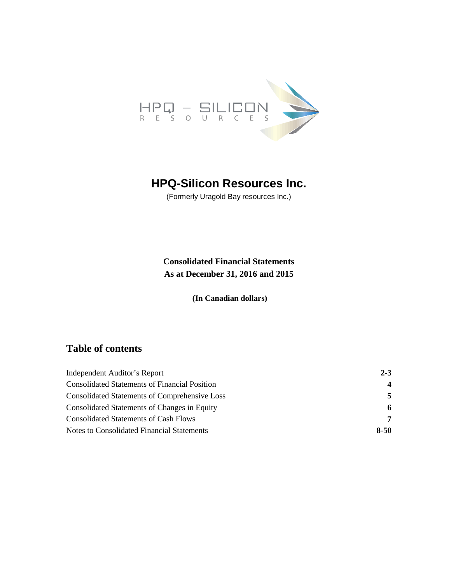

# **HPQ-Silicon Resources Inc.**

(Formerly Uragold Bay resources Inc.)

**Consolidated Financial Statements As at December 31, 2016 and 2015**

**(In Canadian dollars)**

# **Table of contents**

| Independent Auditor's Report                         | $2 - 3$        |
|------------------------------------------------------|----------------|
| <b>Consolidated Statements of Financial Position</b> | $\overline{4}$ |
| <b>Consolidated Statements of Comprehensive Loss</b> | 5.             |
| Consolidated Statements of Changes in Equity         | 6              |
| <b>Consolidated Statements of Cash Flows</b>         | 7              |
| Notes to Consolidated Financial Statements           | $8 - 50$       |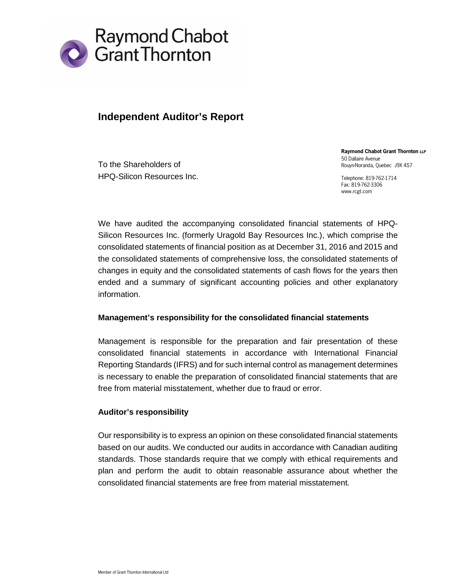

# **Independent Auditor's Report**

To the Shareholders of HPQ-Silicon Resources Inc. **Raymond Chabot Grant Thornton LLP** 50 Dallaire Avenue Rouyn-Noranda, Quebec J9X 4S7

Telephone: 819-762-1714 Fax: 819-762-3306 www.rcgt.com

We have audited the accompanying consolidated financial statements of HPQ-Silicon Resources Inc. (formerly Uragold Bay Resources Inc.), which comprise the consolidated statements of financial position as at December 31, 2016 and 2015 and the consolidated statements of comprehensive loss, the consolidated statements of changes in equity and the consolidated statements of cash flows for the years then ended and a summary of significant accounting policies and other explanatory information.

# **Management's responsibility for the consolidated financial statements**

Management is responsible for the preparation and fair presentation of these consolidated financial statements in accordance with International Financial Reporting Standards (IFRS) and for such internal control as management determines is necessary to enable the preparation of consolidated financial statements that are free from material misstatement, whether due to fraud or error.

# **Auditor's responsibility**

Our responsibility is to express an opinion on these consolidated financial statements based on our audits. We conducted our audits in accordance with Canadian auditing standards. Those standards require that we comply with ethical requirements and plan and perform the audit to obtain reasonable assurance about whether the consolidated financial statements are free from material misstatement.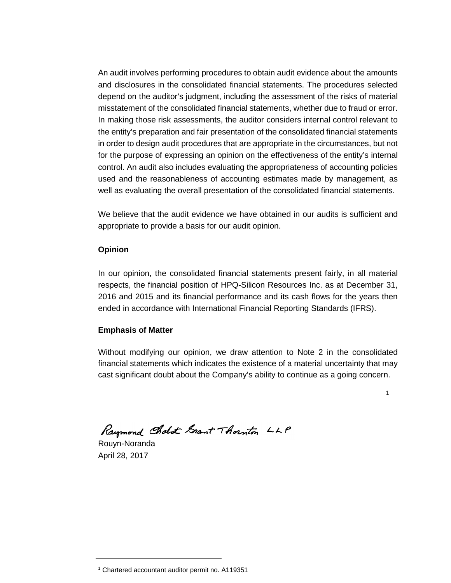An audit involves performing procedures to obtain audit evidence about the amounts and disclosures in the consolidated financial statements. The procedures selected depend on the auditor's judgment, including the assessment of the risks of material misstatement of the consolidated financial statements, whether due to fraud or error. In making those risk assessments, the auditor considers internal control relevant to the entity's preparation and fair presentation of the consolidated financial statements in order to design audit procedures that are appropriate in the circumstances, but not for the purpose of expressing an opinion on the effectiveness of the entity's internal control. An audit also includes evaluating the appropriateness of accounting policies used and the reasonableness of accounting estimates made by management, as well as evaluating the overall presentation of the consolidated financial statements.

We believe that the audit evidence we have obtained in our audits is sufficient and appropriate to provide a basis for our audit opinion.

# **Opinion**

In our opinion, the consolidated financial statements present fairly, in all material respects, the financial position of HPQ-Silicon Resources Inc. as at December 31, 2016 and 2015 and its financial performance and its cash flows for the years then ended in accordance with International Financial Reporting Standards (IFRS).

# **Emphasis of Matter**

Without modifying our opinion, we draw attention to Note 2 in the consolidated financial statements which indicates the existence of a material uncertainty that may cast significant doubt about the Company's ability to continue as a going concern.

1

Raymond Cholot Grant Thornton LLP

Rouyn-Noranda April 28, 2017

<sup>1</sup> Chartered accountant auditor permit no. A119351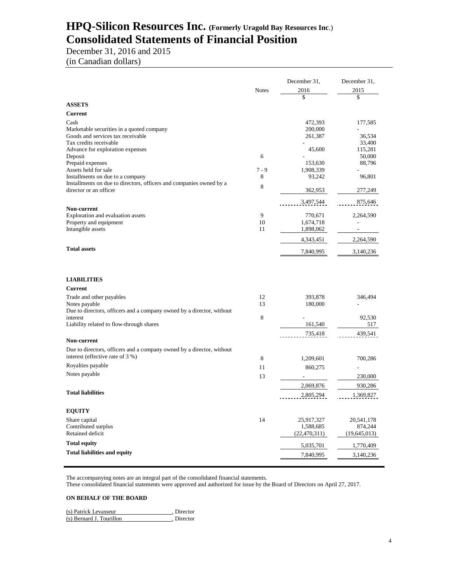# **HPQ-Silicon Resources Inc. (Formerly Uragold Bay Resources Inc**.) **Consolidated Statements of Financial Position**

December 31, 2016 and 2015 (in Canadian dollars)

|                                                                                                           |              | December 31,       | December 31,     |
|-----------------------------------------------------------------------------------------------------------|--------------|--------------------|------------------|
|                                                                                                           | <b>Notes</b> | 2016               | 2015             |
|                                                                                                           |              | \$                 | \$               |
| <b>ASSETS</b>                                                                                             |              |                    |                  |
| <b>Current</b>                                                                                            |              |                    |                  |
| Cash                                                                                                      |              | 472,393            | 177,585          |
| Marketable securities in a quoted company                                                                 |              | 200,000            |                  |
| Goods and services tax receivable<br>Tax credits receivable                                               |              | 261,387            | 36,534<br>33,400 |
| Advance for exploration expenses                                                                          |              | 45,600             | 115,281          |
| Deposit                                                                                                   | 6            |                    | 50,000           |
| Prepaid expenses                                                                                          |              | 153,630            | 88,796           |
| Assets held for sale                                                                                      | $7 - 9$      | 1,908,339          |                  |
| Installments on due to a company                                                                          | 8            | 93,242             | 96,801           |
| Installments on due to directors, officers and companies owned by a                                       | 8            |                    |                  |
| director or an officer                                                                                    |              | 362,953            | 277,249          |
|                                                                                                           |              | 3,497,544          | 875,646          |
| Non-current                                                                                               |              |                    |                  |
| Exploration and evaluation assets                                                                         | 9            | 770,671            | 2,264,590        |
| Property and equipment                                                                                    | 10<br>11     | 1,674,718          |                  |
| Intangible assets                                                                                         |              | 1,898,062          |                  |
|                                                                                                           |              | 4,343,451          | 2,264,590        |
| <b>Total assets</b>                                                                                       |              | 7,840,995          | 3,140,236        |
| <b>LIABILITIES</b><br>Current                                                                             |              |                    |                  |
|                                                                                                           |              |                    |                  |
| Trade and other payables<br>Notes payable                                                                 | 12<br>13     | 393,878<br>180,000 | 346,494          |
| Due to directors, officers and a company owned by a director, without                                     |              |                    |                  |
| interest                                                                                                  | 8            |                    | 92,530           |
| Liability related to flow-through shares                                                                  |              | 161,540            | 517              |
|                                                                                                           |              | 735,418            | 439,541          |
| <b>Non-current</b>                                                                                        |              |                    |                  |
| Due to directors, officers and a company owned by a director, without<br>interest (effective rate of 3 %) |              |                    |                  |
|                                                                                                           | 8            | 1,209,601          | 700,286          |
| Royalties payable                                                                                         | 11           | 860,275            |                  |
| Notes payable                                                                                             | 13           |                    | 230,000          |
|                                                                                                           |              | 2,069,876          | 930,286          |
| <b>Total liabilities</b>                                                                                  |              | 2,805,294          | 1,369,827        |
| <b>EQUITY</b>                                                                                             |              |                    |                  |
| Share capital                                                                                             | 14           | 25,917,327         | 20,541,178       |
| Contributed surplus                                                                                       |              | 1,588,685          | 874,244          |
| Retained deficit                                                                                          |              | (22, 470, 311)     | (19, 645, 013)   |
| <b>Total equity</b>                                                                                       |              | 5,035,701          | 1,770,409        |
| <b>Total liabilities and equity</b>                                                                       |              | 7,840,995          | 3,140,236        |
|                                                                                                           |              |                    |                  |

The accompanying notes are an integral part of the consolidated financial statements.

These consolidated financial statements were approved and authorized for issue by the Board of Directors on April 27, 2017.

#### **ON BEHALF OF THE BOARD**

| (s) Patrick Levasseur    | . Director |
|--------------------------|------------|
| (s) Bernard J. Tourillon | . Director |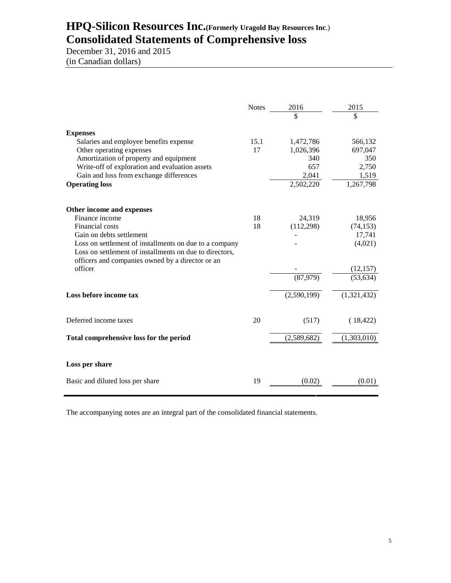# **HPQ-Silicon Resources Inc.(Formerly Uragold Bay Resources Inc**.) **Consolidated Statements of Comprehensive loss**

December 31, 2016 and 2015 (in Canadian dollars)

|                                                                                                                                                                       | <b>Notes</b> | 2016        | 2015        |
|-----------------------------------------------------------------------------------------------------------------------------------------------------------------------|--------------|-------------|-------------|
|                                                                                                                                                                       |              | \$          | \$          |
| <b>Expenses</b>                                                                                                                                                       |              |             |             |
| Salaries and employee benefits expense                                                                                                                                | 15.1         | 1,472,786   | 566,132     |
| Other operating expenses                                                                                                                                              | 17           | 1,026,396   | 697,047     |
| Amortization of property and equipment                                                                                                                                |              | 340         | 350         |
| Write-off of exploration and evaluation assets                                                                                                                        |              | 657         | 2,750       |
| Gain and loss from exchange differences                                                                                                                               |              | 2,041       | 1,519       |
| <b>Operating loss</b>                                                                                                                                                 |              | 2,502,220   | 1,267,798   |
| Other income and expenses                                                                                                                                             |              |             |             |
| Finance income                                                                                                                                                        | 18           | 24,319      | 18,956      |
| Financial costs                                                                                                                                                       | 18           | (112, 298)  | (74, 153)   |
| Gain on debts settlement                                                                                                                                              |              |             | 17,741      |
| Loss on settlement of installments on due to a company<br>Loss on settlement of installments on due to directors,<br>officers and companies owned by a director or an |              |             | (4,021)     |
| officer                                                                                                                                                               |              |             | (12, 157)   |
|                                                                                                                                                                       |              | (87,979)    | (53, 634)   |
| Loss before income tax                                                                                                                                                |              | (2,590,199) | (1,321,432) |
| Deferred income taxes                                                                                                                                                 | 20           | (517)       | (18, 422)   |
| Total comprehensive loss for the period                                                                                                                               |              | (2,589,682) | (1,303,010) |
| Loss per share                                                                                                                                                        |              |             |             |
|                                                                                                                                                                       |              |             |             |
| Basic and diluted loss per share                                                                                                                                      | 19           | (0.02)      | (0.01)      |

The accompanying notes are an integral part of the consolidated financial statements.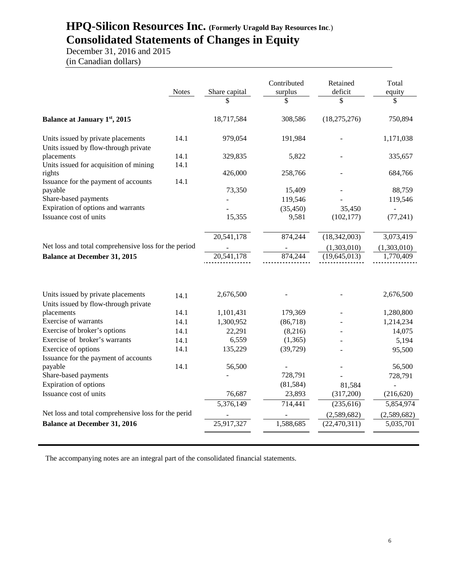# **HPQ-Silicon Resources Inc. (Formerly Uragold Bay Resources Inc**.) **Consolidated Statements of Changes in Equity**

December 31, 2016 and 2015 (in Canadian dollars)

|                                                                            | <b>Notes</b> | Share capital | Contributed<br>surplus<br>\$ | Retained<br>deficit<br>\$   | Total<br>equity<br>\$    |
|----------------------------------------------------------------------------|--------------|---------------|------------------------------|-----------------------------|--------------------------|
| <b>Balance at January 1st, 2015</b>                                        |              | 18,717,584    | 308,586                      | (18, 275, 276)              | 750,894                  |
| Units issued by private placements<br>Units issued by flow-through private | 14.1         | 979,054       | 191,984                      |                             | 1,171,038                |
| placements<br>Units issued for acquisition of mining                       | 14.1<br>14.1 | 329,835       | 5,822                        |                             | 335,657                  |
| rights<br>Issuance for the payment of accounts                             | 14.1         | 426,000       | 258,766                      |                             | 684,766                  |
| payable<br>Share-based payments                                            |              | 73,350        | 15,409<br>119,546            |                             | 88,759<br>119,546        |
| Expiration of options and warrants<br>Issuance cost of units               |              | 15,355        | (35, 450)<br>9,581           | 35,450<br>(102, 177)        | (77, 241)                |
| Net loss and total comprehensive loss for the period                       |              | 20,541,178    | 874,244                      | (18,342,003)<br>(1,303,010) | 3,073,419<br>(1,303,010) |
| <b>Balance at December 31, 2015</b>                                        |              | 20,541,178    | 874,244                      | (19, 645, 013)              | 1,770,409                |
|                                                                            |              |               |                              |                             |                          |
| Units issued by private placements<br>Units issued by flow-through private | 14.1         | 2,676,500     |                              |                             | 2,676,500                |
| placements                                                                 | 14.1         | 1,101,431     | 179,369                      |                             | 1,280,800                |
| Exercise of warrants                                                       | 14.1         | 1,300,952     | (86,718)                     |                             | 1,214,234                |
| Exercise of broker's options                                               | 14.1         | 22,291        | (8,216)                      |                             | 14,075                   |
| Exercise of broker's warrants                                              | 14.1         | 6,559         | (1,365)                      |                             | 5,194                    |
| Exercice of options                                                        | 14.1         | 135,229       | (39, 729)                    |                             | 95,500                   |
| Issuance for the payment of accounts                                       |              |               |                              |                             |                          |
| payable                                                                    | 14.1         | 56,500        |                              |                             | 56,500                   |
| Share-based payments                                                       |              |               | 728,791                      |                             | 728,791                  |
| Expiration of options                                                      |              |               | (81, 584)                    | 81,584                      |                          |
| Issuance cost of units                                                     |              | 76,687        | 23,893                       | (317,200)                   | (216, 620)               |
|                                                                            |              | 5,376,149     | 714,441                      | (235, 616)                  | 5,854,974                |
| Net loss and total comprehensive loss for the perid                        |              |               |                              | (2,589,682)                 | (2,589,682)              |
| <b>Balance at December 31, 2016</b>                                        |              | 25,917,327    | 1,588,685                    | (22, 470, 311)              | 5,035,701                |
|                                                                            |              |               |                              |                             |                          |

The accompanying notes are an integral part of the consolidated financial statements.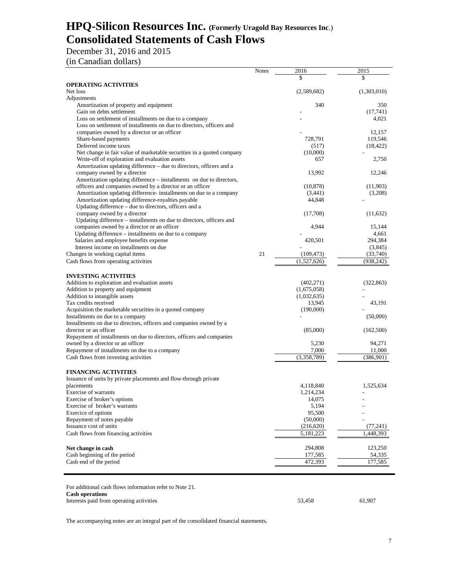# **HPQ-Silicon Resources Inc. (Formerly Uragold Bay Resources Inc**.) **Consolidated Statements of Cash Flows**

December 31, 2016 and 2015

(in Canadian dollars)

|                                                                       | <b>Notes</b> | 2016        | 2015        |
|-----------------------------------------------------------------------|--------------|-------------|-------------|
|                                                                       |              | \$          | \$          |
| <b>OPERATING ACTIVITIES</b>                                           |              |             |             |
| Net loss                                                              |              | (2,589,682) | (1,303,010) |
| Adjustments                                                           |              |             |             |
| Amortization of property and equipment                                |              | 340         | 350         |
| Gain on debts settlement                                              |              |             | (17,741)    |
| Loss on settlement of installments on due to a company                |              |             | 4,021       |
| Loss on settlement of installments on due to directors, officers and  |              |             |             |
| companies owned by a director or an officer                           |              |             | 12,157      |
| Share-based payments                                                  |              | 728,791     | 119,546     |
| Deferred income taxes                                                 |              | (517)       | (18, 422)   |
| Net change in fair value of marketable securities in a quoted company |              | (10,000)    |             |
|                                                                       |              | 657         |             |
| Write-off of exploration and evaluation assets                        |              |             | 2,750       |
| Amortization updating difference – due to directors, officers and a   |              |             |             |
| company owned by a director                                           |              | 13,992      | 12,246      |
| Amortization updating difference - installments on due to directors,  |              |             |             |
| officers and companies owned by a director or an officer              |              | (10, 878)   | (11,903)    |
| Amortization updating difference- installments on due to a company    |              | (3,441)     | (3,208)     |
| Amortization updating difference-royalties payable                    |              | 44,848      |             |
| Updating difference - due to directors, officers and a                |              |             |             |
| company owned by a director                                           |              | (17,708)    | (11,632)    |
| Updating difference - installments on due to directors, officers and  |              |             |             |
| companies owned by a director or an officer                           |              | 4,944       | 15,144      |
| Updating difference – installments on due to a company                |              |             | 4,661       |
| Salaries and employee benefits expense                                |              | 420,501     | 294,384     |
| Interest income on installments on due                                |              |             | (3,845)     |
| Changes in working capital items                                      | 21           | (109, 473)  | (33,740)    |
| Cash flows from operating activities                                  |              | (1,527,626) | (938, 242)  |
|                                                                       |              |             |             |
|                                                                       |              |             |             |
| <b>INVESTING ACTIVITIES</b>                                           |              |             |             |
| Addition to exploration and evaluation assets                         |              | (402, 271)  | (322, 863)  |
| Addition to property and equipment                                    |              | (1,675,058) |             |
| Addition to intangible assets                                         |              | (1,032,635) |             |
| Tax credits received                                                  |              | 13,945      | 43,191      |
| Acquisition the marketable securities in a quoted company             |              | (190,000)   |             |
| Installments on due to a company                                      |              |             | (50,000)    |
| Installments on due to directors, officers and companies owned by a   |              |             |             |
| director or an officer                                                |              | (85,000)    | (162,500)   |
| Repayment of installments on due to directors, officers and companies |              |             |             |
| owned by a director or an officer                                     |              | 5,230       | 94,271      |
| Repayment of installments on due to a company                         |              | 7,000       | 11,000      |
| Cash flows from investing activities                                  |              | (3,358,789) | (386,901)   |
|                                                                       |              |             |             |
| <b>FINANCING ACTIVITIES</b>                                           |              |             |             |
| Issuance of units by private placements and flow-through private      |              |             |             |
| placements                                                            |              | 4,118,840   | 1,525,634   |
|                                                                       |              |             |             |
| Exercise of warrants                                                  |              | 1,214,234   |             |
| Exercise of broker's options                                          |              | 14,075      |             |
| Exercise of broker's warrants                                         |              | 5,194       |             |
| Exercice of options                                                   |              | 95,500      |             |
| Repayment of notes payable                                            |              | (50,000)    |             |
| Issuance cost of units                                                |              | (216,620)   | (77, 241)   |
| Cash flows from financing activities                                  |              | 5,181,223   | 1,448,393   |
|                                                                       |              |             |             |
| Net change in cash                                                    |              | 294,808     | 123,250     |
| Cash beginning of the period                                          |              | 177,585     | 54,335      |
| Cash end of the period                                                |              | 472,393     | 177,585     |
|                                                                       |              |             |             |
|                                                                       |              |             |             |
|                                                                       |              |             |             |

For additional cash flows information refer to Note 21. **Cash operations** Interests paid from operating activities 53,458 61,907

The accompanying notes are an integral part of the consolidated financial statements**.**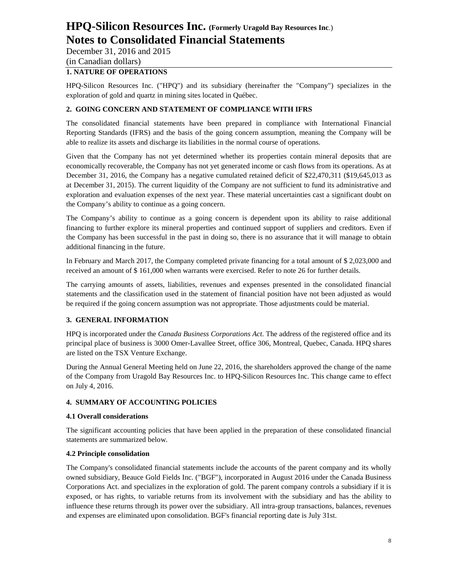December 31, 2016 and 2015

# (in Canadian dollars)

# **1. NATURE OF OPERATIONS**

HPQ-Silicon Resources Inc. ("HPQ") and its subsidiary (hereinafter the "Company") specializes in the exploration of gold and quartz in mining sites located in Québec.

# **2. GOING CONCERN AND STATEMENT OF COMPLIANCE WITH IFRS**

The consolidated financial statements have been prepared in compliance with International Financial Reporting Standards (IFRS) and the basis of the going concern assumption, meaning the Company will be able to realize its assets and discharge its liabilities in the normal course of operations.

Given that the Company has not yet determined whether its properties contain mineral deposits that are economically recoverable, the Company has not yet generated income or cash flows from its operations. As at December 31, 2016, the Company has a negative cumulated retained deficit of \$22,470,311 (\$19,645,013 as at December 31, 2015). The current liquidity of the Company are not sufficient to fund its administrative and exploration and evaluation expenses of the next year. These material uncertainties cast a significant doubt on the Company's ability to continue as a going concern.

The Company's ability to continue as a going concern is dependent upon its ability to raise additional financing to further explore its mineral properties and continued support of suppliers and creditors. Even if the Company has been successful in the past in doing so, there is no assurance that it will manage to obtain additional financing in the future.

In February and March 2017, the Company completed private financing for a total amount of \$ 2,023,000 and received an amount of \$ 161,000 when warrants were exercised. Refer to note 26 for further details.

The carrying amounts of assets, liabilities, revenues and expenses presented in the consolidated financial statements and the classification used in the statement of financial position have not been adjusted as would be required if the going concern assumption was not appropriate. Those adjustments could be material.

# **3. GENERAL INFORMATION**

HPQ is incorporated under the *Canada Business Corporations Act*. The address of the registered office and its principal place of business is 3000 Omer-Lavallee Street, office 306, Montreal, Quebec, Canada. HPQ shares are listed on the TSX Venture Exchange.

During the Annual General Meeting held on June 22, 2016, the shareholders approved the change of the name of the Company from Uragold Bay Resources Inc. to HPQ-Silicon Resources Inc. This change came to effect on July 4, 2016.

# **4. SUMMARY OF ACCOUNTING POLICIES**

#### **4.1 Overall considerations**

The significant accounting policies that have been applied in the preparation of these consolidated financial statements are summarized below.

#### **4.2 Principle consolidation**

The Company's consolidated financial statements include the accounts of the parent company and its wholly owned subsidiary, Beauce Gold Fields Inc. ("BGF"), incorporated in August 2016 under the Canada Business Corporations Act. and specializes in the exploration of gold. The parent company controls a subsidiary if it is exposed, or has rights, to variable returns from its involvement with the subsidiary and has the ability to influence these returns through its power over the subsidiary. All intra-group transactions, balances, revenues and expenses are eliminated upon consolidation. BGF's financial reporting date is July 31st.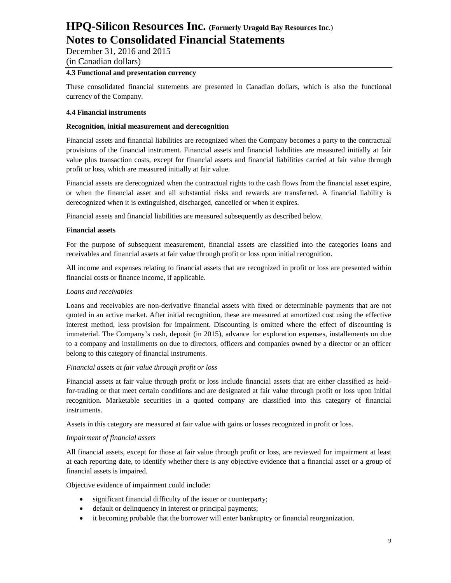December 31, 2016 and 2015 (in Canadian dollars)

#### **4.3 Functional and presentation currency**

These consolidated financial statements are presented in Canadian dollars, which is also the functional currency of the Company.

#### **4.4 Financial instruments**

#### **Recognition, initial measurement and derecognition**

Financial assets and financial liabilities are recognized when the Company becomes a party to the contractual provisions of the financial instrument. Financial assets and financial liabilities are measured initially at fair value plus transaction costs, except for financial assets and financial liabilities carried at fair value through profit or loss, which are measured initially at fair value.

Financial assets are derecognized when the contractual rights to the cash flows from the financial asset expire, or when the financial asset and all substantial risks and rewards are transferred. A financial liability is derecognized when it is extinguished, discharged, cancelled or when it expires.

Financial assets and financial liabilities are measured subsequently as described below.

#### **Financial assets**

For the purpose of subsequent measurement, financial assets are classified into the categories loans and receivables and financial assets at fair value through profit or loss upon initial recognition.

All income and expenses relating to financial assets that are recognized in profit or loss are presented within financial costs or finance income, if applicable.

#### *Loans and receivables*

Loans and receivables are non-derivative financial assets with fixed or determinable payments that are not quoted in an active market. After initial recognition, these are measured at amortized cost using the effective interest method, less provision for impairment. Discounting is omitted where the effect of discounting is immaterial. The Company's cash, deposit (in 2015), advance for exploration expenses, installements on due to a company and installments on due to directors, officers and companies owned by a director or an officer belong to this category of financial instruments.

#### *Financial assets at fair value through profit or loss*

Financial assets at fair value through profit or loss include financial assets that are either classified as heldfor-trading or that meet certain conditions and are designated at fair value through profit or loss upon initial recognition. Marketable securities in a quoted company are classified into this category of financial instruments.

Assets in this category are measured at fair value with gains or losses recognized in profit or loss.

#### *Impairment of financial assets*

All financial assets, except for those at fair value through profit or loss, are reviewed for impairment at least at each reporting date, to identify whether there is any objective evidence that a financial asset or a group of financial assets is impaired.

Objective evidence of impairment could include:

- significant financial difficulty of the issuer or counterparty;
- default or delinquency in interest or principal payments;
- it becoming probable that the borrower will enter bankruptcy or financial reorganization.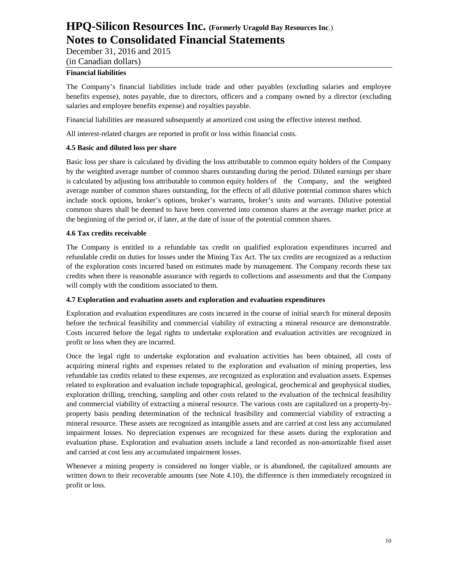December 31, 2016 and 2015

## (in Canadian dollars)

### **Financial liabilities**

The Company's financial liabilities include trade and other payables (excluding salaries and employee benefits expense), notes payable, due to directors, officers and a company owned by a director (excluding salaries and employee benefits expense) and royalties payable.

Financial liabilities are measured subsequently at amortized cost using the effective interest method.

All interest-related charges are reported in profit or loss within financial costs.

### **4.5 Basic and diluted loss per share**

Basic loss per share is calculated by dividing the loss attributable to common equity holders of the Company by the weighted average number of common shares outstanding during the period. Diluted earnings per share is calculated by adjusting loss attributable to common equity holders of the Company, and the weighted average number of common shares outstanding, for the effects of all dilutive potential common shares which include stock options, broker's options, broker's warrants, broker's units and warrants. Dilutive potential common shares shall be deemed to have been converted into common shares at the average market price at the beginning of the period or, if later, at the date of issue of the potential common shares.

### **4.6 Tax credits receivable**

The Company is entitled to a refundable tax credit on qualified exploration expenditures incurred and refundable credit on duties for losses under the Mining Tax Act. The tax credits are recognized as a reduction of the exploration costs incurred based on estimates made by management. The Company records these tax credits when there is reasonable assurance with regards to collections and assessments and that the Company will comply with the conditions associated to them.

#### **4.7 Exploration and evaluation assets and exploration and evaluation expenditures**

Exploration and evaluation expenditures are costs incurred in the course of initial search for mineral deposits before the technical feasibility and commercial viability of extracting a mineral resource are demonstrable. Costs incurred before the legal rights to undertake exploration and evaluation activities are recognized in profit or loss when they are incurred.

Once the legal right to undertake exploration and evaluation activities has been obtained, all costs of acquiring mineral rights and expenses related to the exploration and evaluation of mining properties, less refundable tax credits related to these expenses, are recognized as exploration and evaluation assets. Expenses related to exploration and evaluation include topographical, geological, geochemical and geophysical studies, exploration drilling, trenching, sampling and other costs related to the evaluation of the technical feasibility and commercial viability of extracting a mineral resource. The various costs are capitalized on a property-byproperty basis pending determination of the technical feasibility and commercial viability of extracting a mineral resource. These assets are recognized as intangible assets and are carried at cost less any accumulated impairment losses. No depreciation expenses are recognized for these assets during the exploration and evaluation phase. Exploration and evaluation assets include a land recorded as non-amortizable fixed asset and carried at cost less any accumulated impairment losses.

Whenever a mining property is considered no longer viable, or is abandoned, the capitalized amounts are written down to their recoverable amounts (see Note 4.10), the difference is then immediately recognized in profit or loss.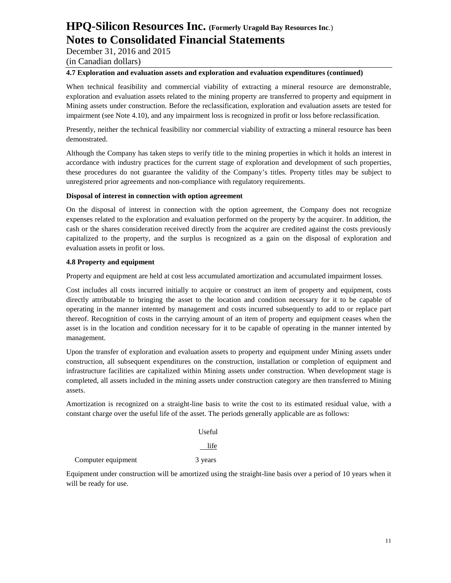December 31, 2016 and 2015

(in Canadian dollars)

### **4.7 Exploration and evaluation assets and exploration and evaluation expenditures (continued)**

When technical feasibility and commercial viability of extracting a mineral resource are demonstrable, exploration and evaluation assets related to the mining property are transferred to property and equipment in Mining assets under construction. Before the reclassification, exploration and evaluation assets are tested for impairment (see Note 4.10), and any impairment loss is recognized in profit or loss before reclassification.

Presently, neither the technical feasibility nor commercial viability of extracting a mineral resource has been demonstrated.

Although the Company has taken steps to verify title to the mining properties in which it holds an interest in accordance with industry practices for the current stage of exploration and development of such properties, these procedures do not guarantee the validity of the Company's titles. Property titles may be subject to unregistered prior agreements and non-compliance with regulatory requirements.

### **Disposal of interest in connection with option agreement**

On the disposal of interest in connection with the option agreement, the Company does not recognize expenses related to the exploration and evaluation performed on the property by the acquirer. In addition, the cash or the shares consideration received directly from the acquirer are credited against the costs previously capitalized to the property, and the surplus is recognized as a gain on the disposal of exploration and evaluation assets in profit or loss.

### **4.8 Property and equipment**

Property and equipment are held at cost less accumulated amortization and accumulated impairment losses.

Cost includes all costs incurred initially to acquire or construct an item of property and equipment, costs directly attributable to bringing the asset to the location and condition necessary for it to be capable of operating in the manner intented by management and costs incurred subsequently to add to or replace part thereof. Recognition of costs in the carrying amount of an item of property and equipment ceases when the asset is in the location and condition necessary for it to be capable of operating in the manner intented by management.

Upon the transfer of exploration and evaluation assets to property and equipment under Mining assets under construction, all subsequent expenditures on the construction, installation or completion of equipment and infrastructure facilities are capitalized within Mining assets under construction. When development stage is completed, all assets included in the mining assets under construction category are then transferred to Mining assets.

Amortization is recognized on a straight-line basis to write the cost to its estimated residual value, with a constant charge over the useful life of the asset. The periods generally applicable are as follows:

Useful

life

Computer equipment 3 years

Equipment under construction will be amortized using the straight-line basis over a period of 10 years when it will be ready for use.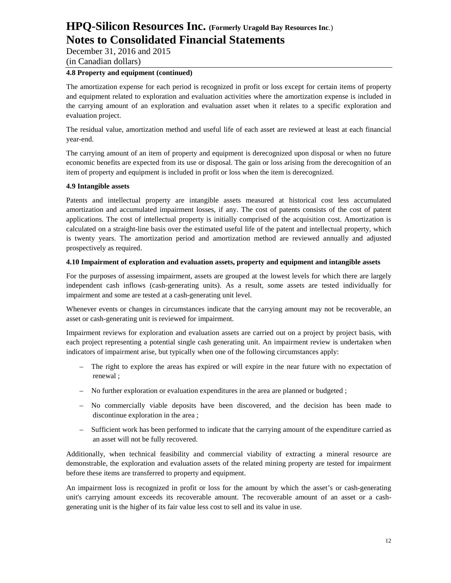December 31, 2016 and 2015 (in Canadian dollars)

### **4.8 Property and equipment (continued)**

The amortization expense for each period is recognized in profit or loss except for certain items of property and equipment related to exploration and evaluation activities where the amortization expense is included in the carrying amount of an exploration and evaluation asset when it relates to a specific exploration and evaluation project.

The residual value, amortization method and useful life of each asset are reviewed at least at each financial year-end.

The carrying amount of an item of property and equipment is derecognized upon disposal or when no future economic benefits are expected from its use or disposal. The gain or loss arising from the derecognition of an item of property and equipment is included in profit or loss when the item is derecognized.

#### **4.9 Intangible assets**

Patents and intellectual property are intangible assets measured at historical cost less accumulated amortization and accumulated impairment losses, if any. The cost of patents consists of the cost of patent applications. The cost of intellectual property is initially comprised of the acquisition cost. Amortization is calculated on a straight-line basis over the estimated useful life of the patent and intellectual property, which is twenty years. The amortization period and amortization method are reviewed annually and adjusted prospectively as required.

#### **4.10 Impairment of exploration and evaluation assets, property and equipment and intangible assets**

For the purposes of assessing impairment, assets are grouped at the lowest levels for which there are largely independent cash inflows (cash-generating units). As a result, some assets are tested individually for impairment and some are tested at a cash-generating unit level.

Whenever events or changes in circumstances indicate that the carrying amount may not be recoverable, an asset or cash-generating unit is reviewed for impairment.

Impairment reviews for exploration and evaluation assets are carried out on a project by project basis, with each project representing a potential single cash generating unit. An impairment review is undertaken when indicators of impairment arise, but typically when one of the following circumstances apply:

- The right to explore the areas has expired or will expire in the near future with no expectation of renewal ;
- No further exploration or evaluation expenditures in the area are planned or budgeted ;
- No commercially viable deposits have been discovered, and the decision has been made to discontinue exploration in the area ;
- Sufficient work has been performed to indicate that the carrying amount of the expenditure carried as an asset will not be fully recovered.

Additionally, when technical feasibility and commercial viability of extracting a mineral resource are demonstrable, the exploration and evaluation assets of the related mining property are tested for impairment before these items are transferred to property and equipment.

An impairment loss is recognized in profit or loss for the amount by which the asset's or cash-generating unit's carrying amount exceeds its recoverable amount. The recoverable amount of an asset or a cashgenerating unit is the higher of its fair value less cost to sell and its value in use.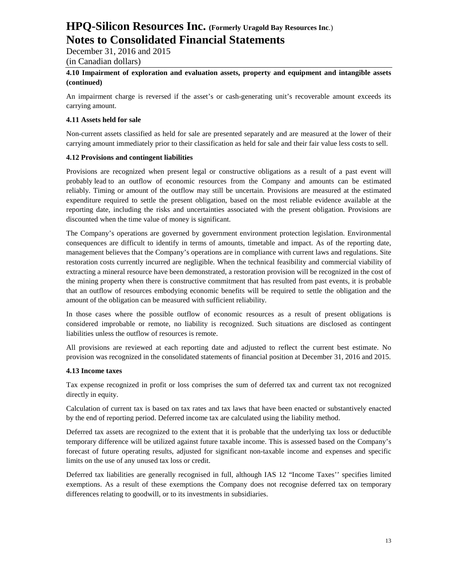December 31, 2016 and 2015 (in Canadian dollars)

### **4.10 Impairment of exploration and evaluation assets, property and equipment and intangible assets (continued)**

An impairment charge is reversed if the asset's or cash-generating unit's recoverable amount exceeds its carrying amount.

### **4.11 Assets held for sale**

Non-current assets classified as held for sale are presented separately and are measured at the lower of their carrying amount immediately prior to their classification as held for sale and their fair value less costs to sell.

### **4.12 Provisions and contingent liabilities**

Provisions are recognized when present legal or constructive obligations as a result of a past event will probably lead to an outflow of economic resources from the Company and amounts can be estimated reliably. Timing or amount of the outflow may still be uncertain. Provisions are measured at the estimated expenditure required to settle the present obligation, based on the most reliable evidence available at the reporting date, including the risks and uncertainties associated with the present obligation. Provisions are discounted when the time value of money is significant.

The Company's operations are governed by government environment protection legislation. Environmental consequences are difficult to identify in terms of amounts, timetable and impact. As of the reporting date, management believes that the Company's operations are in compliance with current laws and regulations. Site restoration costs currently incurred are negligible. When the technical feasibility and commercial viability of extracting a mineral resource have been demonstrated, a restoration provision will be recognized in the cost of the mining property when there is constructive commitment that has resulted from past events, it is probable that an outflow of resources embodying economic benefits will be required to settle the obligation and the amount of the obligation can be measured with sufficient reliability.

In those cases where the possible outflow of economic resources as a result of present obligations is considered improbable or remote, no liability is recognized. Such situations are disclosed as contingent liabilities unless the outflow of resources is remote.

All provisions are reviewed at each reporting date and adjusted to reflect the current best estimate. No provision was recognized in the consolidated statements of financial position at December 31, 2016 and 2015.

#### **4.13 Income taxes**

Tax expense recognized in profit or loss comprises the sum of deferred tax and current tax not recognized directly in equity.

Calculation of current tax is based on tax rates and tax laws that have been enacted or substantively enacted by the end of reporting period. Deferred income tax are calculated using the liability method.

Deferred tax assets are recognized to the extent that it is probable that the underlying tax loss or deductible temporary difference will be utilized against future taxable income. This is assessed based on the Company's forecast of future operating results, adjusted for significant non-taxable income and expenses and specific limits on the use of any unused tax loss or credit.

Deferred tax liabilities are generally recognised in full, although IAS 12 "Income Taxes'' specifies limited exemptions. As a result of these exemptions the Company does not recognise deferred tax on temporary differences relating to goodwill, or to its investments in subsidiaries.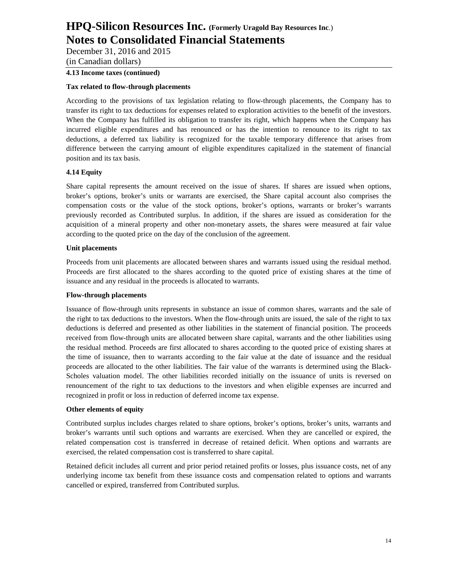December 31, 2016 and 2015

(in Canadian dollars)

# **4.13 Income taxes (continued)**

### **Tax related to flow-through placements**

According to the provisions of tax legislation relating to flow-through placements, the Company has to transfer its right to tax deductions for expenses related to exploration activities to the benefit of the investors. When the Company has fulfilled its obligation to transfer its right, which happens when the Company has incurred eligible expenditures and has renounced or has the intention to renounce to its right to tax deductions, a deferred tax liability is recognized for the taxable temporary difference that arises from difference between the carrying amount of eligible expenditures capitalized in the statement of financial position and its tax basis.

### **4.14 Equity**

Share capital represents the amount received on the issue of shares. If shares are issued when options, broker's options, broker's units or warrants are exercised, the Share capital account also comprises the compensation costs or the value of the stock options, broker's options, warrants or broker's warrants previously recorded as Contributed surplus. In addition, if the shares are issued as consideration for the acquisition of a mineral property and other non-monetary assets, the shares were measured at fair value according to the quoted price on the day of the conclusion of the agreement.

#### **Unit placements**

Proceeds from unit placements are allocated between shares and warrants issued using the residual method. Proceeds are first allocated to the shares according to the quoted price of existing shares at the time of issuance and any residual in the proceeds is allocated to warrants.

### **Flow-through placements**

Issuance of flow-through units represents in substance an issue of common shares, warrants and the sale of the right to tax deductions to the investors. When the flow-through units are issued, the sale of the right to tax deductions is deferred and presented as other liabilities in the statement of financial position. The proceeds received from flow-through units are allocated between share capital, warrants and the other liabilities using the residual method. Proceeds are first allocated to shares according to the quoted price of existing shares at the time of issuance, then to warrants according to the fair value at the date of issuance and the residual proceeds are allocated to the other liabilities. The fair value of the warrants is determined using the Black-Scholes valuation model. The other liabilities recorded initially on the issuance of units is reversed on renouncement of the right to tax deductions to the investors and when eligible expenses are incurred and recognized in profit or loss in reduction of deferred income tax expense.

#### **Other elements of equity**

Contributed surplus includes charges related to share options, broker's options, broker's units, warrants and broker's warrants until such options and warrants are exercised. When they are cancelled or expired, the related compensation cost is transferred in decrease of retained deficit. When options and warrants are exercised, the related compensation cost is transferred to share capital.

Retained deficit includes all current and prior period retained profits or losses, plus issuance costs, net of any underlying income tax benefit from these issuance costs and compensation related to options and warrants cancelled or expired, transferred from Contributed surplus.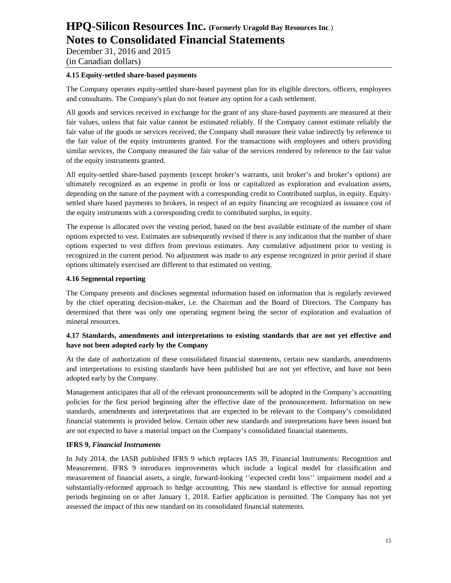December 31, 2016 and 2015 (in Canadian dollars)

#### **4.15 Equity-settled share-based payments**

The Company operates equity-settled share-based payment plan for its eligible directors, officers, employees and consultants. The Company's plan do not feature any option for a cash settlement.

All goods and services received in exchange for the grant of any share-based payments are measured at their fair values, unless that fair value cannot be estimated reliably. If the Company cannot estimate reliably the fair value of the goods or services received, the Company shall measure their value indirectly by reference to the fair value of the equity instruments granted. For the transactions with employees and others providing similar services, the Company measured the fair value of the services rendered by reference to the fair value of the equity instruments granted.

All equity-settled share-based payments (except broker's warrants, unit broker's and broker's options) are ultimately recognized as an expense in profit or loss or capitalized as exploration and evaluation assets, depending on the nature of the payment with a corresponding credit to Contributed surplus, in equity. Equitysettled share based payments to brokers, in respect of an equity financing are recognized as issuance cost of the equity instruments with a corresponding credit to contributed surplus, in equity.

The expense is allocated over the vesting period, based on the best available estimate of the number of share options expected to vest. Estimates are subsequently revised if there is any indication that the number of share options expected to vest differs from previous estimates. Any cumulative adjustment prior to vesting is recognized in the current period. No adjustment was made to any expense recognized in prior period if share options ultimately exercised are different to that estimated on vesting.

#### **4.16 Segmental reporting**

The Company presents and discloses segmental information based on information that is regularly reviewed by the chief operating decision-maker, i.e. the Chairman and the Board of Directors. The Company has determined that there was only one operating segment being the sector of exploration and evaluation of mineral resources.

### **4.17 Standards, amendments and interpretations to existing standards that are not yet effective and have not been adopted early by the Company**

At the date of authorization of these consolidated financial statements, certain new standards, amendments and interpretations to existing standards have been published but are not yet effective, and have not been adopted early by the Company.

Management anticipates that all of the relevant pronouncements will be adopted in the Company's accounting policies for the first period beginning after the effective date of the pronouncement. Information on new standards, amendments and interpretations that are expected to be relevant to the Company's consolidated financial statements is provided below. Certain other new standards and interpretations have been issued but are not expected to have a material impact on the Company's consolidated financial statements.

#### **IFRS 9,** *Financial Instruments*

In July 2014, the IASB published IFRS 9 which replaces IAS 39, Financial Instruments: Recognition and Measurement. IFRS 9 introduces improvements which include a logical model for classification and measurement of financial assets, a single, forward-looking ''expected credit loss'' impairment model and a substantially-reformed approach to hedge accounting. This new standard is effective for annual reporting periods beginning on or after January 1, 2018. Earlier application is permitted. The Company has not yet assessed the impact of this new standard on its consolidated financial statements.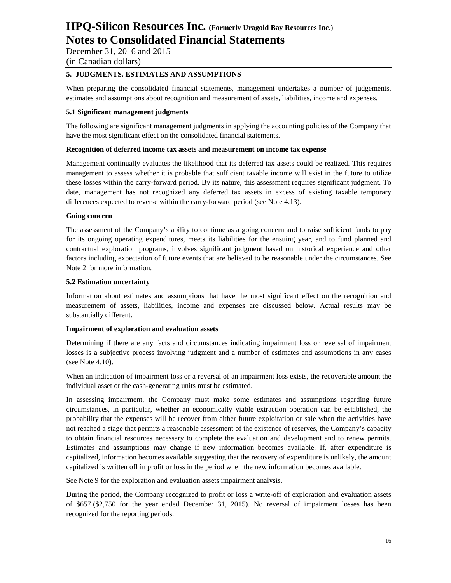December 31, 2016 and 2015

# (in Canadian dollars)

### **5. JUDGMENTS, ESTIMATES AND ASSUMPTIONS**

When preparing the consolidated financial statements, management undertakes a number of judgements, estimates and assumptions about recognition and measurement of assets, liabilities, income and expenses.

### **5.1 Significant management judgments**

The following are significant management judgments in applying the accounting policies of the Company that have the most significant effect on the consolidated financial statements.

### **Recognition of deferred income tax assets and measurement on income tax expense**

Management continually evaluates the likelihood that its deferred tax assets could be realized. This requires management to assess whether it is probable that sufficient taxable income will exist in the future to utilize these losses within the carry-forward period. By its nature, this assessment requires significant judgment. To date, management has not recognized any deferred tax assets in excess of existing taxable temporary differences expected to reverse within the carry-forward period (see Note 4.13).

#### **Going concern**

The assessment of the Company's ability to continue as a going concern and to raise sufficient funds to pay for its ongoing operating expenditures, meets its liabilities for the ensuing year, and to fund planned and contractual exploration programs, involves significant judgment based on historical experience and other factors including expectation of future events that are believed to be reasonable under the circumstances. See Note 2 for more information.

### **5.2 Estimation uncertainty**

Information about estimates and assumptions that have the most significant effect on the recognition and measurement of assets, liabilities, income and expenses are discussed below. Actual results may be substantially different.

#### **Impairment of exploration and evaluation assets**

Determining if there are any facts and circumstances indicating impairment loss or reversal of impairment losses is a subjective process involving judgment and a number of estimates and assumptions in any cases (see Note 4.10).

When an indication of impairment loss or a reversal of an impairment loss exists, the recoverable amount the individual asset or the cash-generating units must be estimated.

In assessing impairment, the Company must make some estimates and assumptions regarding future circumstances, in particular, whether an economically viable extraction operation can be established, the probability that the expenses will be recover from either future exploitation or sale when the activities have not reached a stage that permits a reasonable assessment of the existence of reserves, the Company's capacity to obtain financial resources necessary to complete the evaluation and development and to renew permits. Estimates and assumptions may change if new information becomes available. If, after expenditure is capitalized, information becomes available suggesting that the recovery of expenditure is unlikely, the amount capitalized is written off in profit or loss in the period when the new information becomes available.

See Note 9 for the exploration and evaluation assets impairment analysis.

During the period, the Company recognized to profit or loss a write-off of exploration and evaluation assets of \$657 (\$2,750 for the year ended December 31, 2015). No reversal of impairment losses has been recognized for the reporting periods.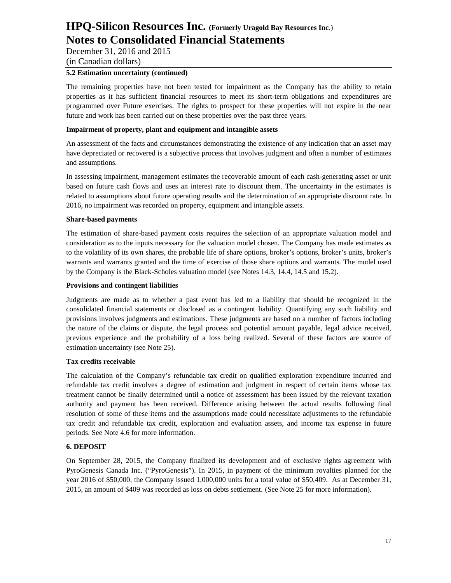December 31, 2016 and 2015 (in Canadian dollars)

#### **5.2 Estimation uncertainty (continued)**

The remaining properties have not been tested for impairment as the Company has the ability to retain properties as it has sufficient financial resources to meet its short-term obligations and expenditures are programmed over Future exercises. The rights to prospect for these properties will not expire in the near future and work has been carried out on these properties over the past three years.

### **Impairment of property, plant and equipment and intangible assets**

An assessment of the facts and circumstances demonstrating the existence of any indication that an asset may have depreciated or recovered is a subjective process that involves judgment and often a number of estimates and assumptions.

In assessing impairment, management estimates the recoverable amount of each cash-generating asset or unit based on future cash flows and uses an interest rate to discount them. The uncertainty in the estimates is related to assumptions about future operating results and the determination of an appropriate discount rate. In 2016, no impairment was recorded on property, equipment and intangible assets.

### **Share-based payments**

The estimation of share-based payment costs requires the selection of an appropriate valuation model and consideration as to the inputs necessary for the valuation model chosen. The Company has made estimates as to the volatility of its own shares, the probable life of share options, broker's options, broker's units, broker's warrants and warrants granted and the time of exercise of those share options and warrants. The model used by the Company is the Black-Scholes valuation model (see Notes 14.3, 14.4, 14.5 and 15.2).

### **Provisions and contingent liabilities**

Judgments are made as to whether a past event has led to a liability that should be recognized in the consolidated financial statements or disclosed as a contingent liability. Quantifying any such liability and provisions involves judgments and estimations. These judgments are based on a number of factors including the nature of the claims or dispute, the legal process and potential amount payable, legal advice received, previous experience and the probability of a loss being realized. Several of these factors are source of estimation uncertainty (see Note 25).

#### **Tax credits receivable**

The calculation of the Company's refundable tax credit on qualified exploration expenditure incurred and refundable tax credit involves a degree of estimation and judgment in respect of certain items whose tax treatment cannot be finally determined until a notice of assessment has been issued by the relevant taxation authority and payment has been received. Difference arising between the actual results following final resolution of some of these items and the assumptions made could necessitate adjustments to the refundable tax credit and refundable tax credit, exploration and evaluation assets, and income tax expense in future periods. See Note 4.6 for more information.

# **6. DEPOSIT**

On September 28, 2015, the Company finalized its development and of exclusive rights agreement with PyroGenesis Canada Inc. ("PyroGenesis"). In 2015, in payment of the minimum royalties planned for the year 2016 of \$50,000, the Company issued 1,000,000 units for a total value of \$50,409. As at December 31, 2015, an amount of \$409 was recorded as loss on debts settlement. (See Note 25 for more information).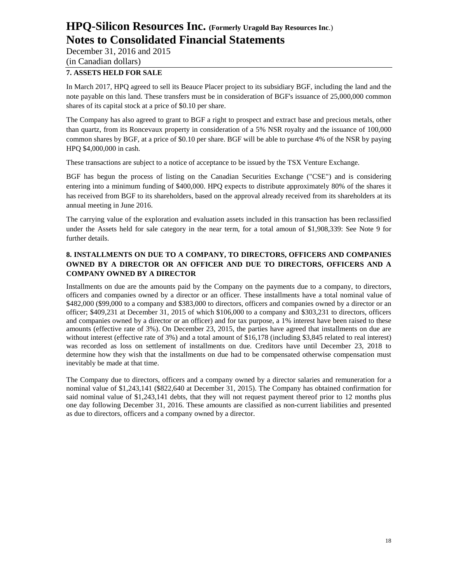December 31, 2016 and 2015 (in Canadian dollars)

### **7. ASSETS HELD FOR SALE**

In March 2017, HPQ agreed to sell its Beauce Placer project to its subsidiary BGF, including the land and the note payable on this land. These transfers must be in consideration of BGF's issuance of 25,000,000 common shares of its capital stock at a price of \$0.10 per share.

The Company has also agreed to grant to BGF a right to prospect and extract base and precious metals, other than quartz, from its Roncevaux property in consideration of a 5% NSR royalty and the issuance of 100,000 common shares by BGF, at a price of \$0.10 per share. BGF will be able to purchase 4% of the NSR by paying HPQ \$4,000,000 in cash.

These transactions are subject to a notice of acceptance to be issued by the TSX Venture Exchange.

BGF has begun the process of listing on the Canadian Securities Exchange ("CSE") and is considering entering into a minimum funding of \$400,000. HPQ expects to distribute approximately 80% of the shares it has received from BGF to its shareholders, based on the approval already received from its shareholders at its annual meeting in June 2016.

The carrying value of the exploration and evaluation assets included in this transaction has been reclassified under the Assets held for sale category in the near term, for a total amoun of \$1,908,339: See Note 9 for further details.

# **8. INSTALLMENTS ON DUE TO A COMPANY, TO DIRECTORS, OFFICERS AND COMPANIES OWNED BY A DIRECTOR OR AN OFFICER AND DUE TO DIRECTORS, OFFICERS AND A COMPANY OWNED BY A DIRECTOR**

Installments on due are the amounts paid by the Company on the payments due to a company, to directors, officers and companies owned by a director or an officer. These installments have a total nominal value of \$482,000 (\$99,000 to a company and \$383,000 to directors, officers and companies owned by a director or an officer; \$409,231 at December 31, 2015 of which \$106,000 to a company and \$303,231 to directors, officers and companies owned by a director or an officer) and for tax purpose, a 1% interest have been raised to these amounts (effective rate of 3%). On December 23, 2015, the parties have agreed that installments on due are without interest (effective rate of 3%) and a total amount of \$16,178 (including \$3,845 related to real interest) was recorded as loss on settlement of installments on due. Creditors have until December 23, 2018 to determine how they wish that the installments on due had to be compensated otherwise compensation must inevitably be made at that time.

The Company due to directors, officers and a company owned by a director salaries and remuneration for a nominal value of \$1,243,141 (\$822,640 at December 31, 2015). The Company has obtained confirmation for said nominal value of \$1,243,141 debts, that they will not request payment thereof prior to 12 months plus one day following December 31, 2016. These amounts are classified as non-current liabilities and presented as due to directors, officers and a company owned by a director.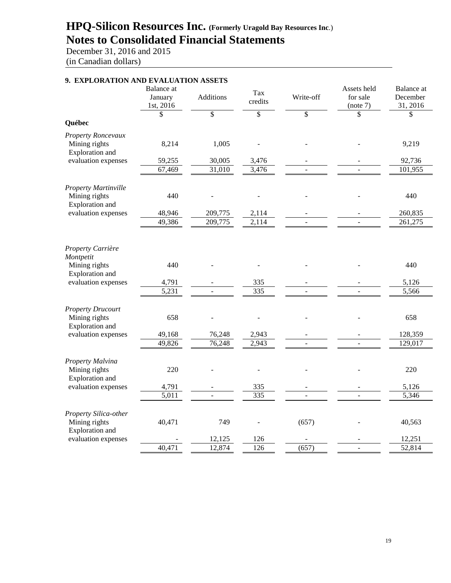December 31, 2016 and 2015 (in Canadian dollars)

| 9. EXPLORATION AND EVALUATION ASSETS          |                                    |           |                |           |                                     |                                           |
|-----------------------------------------------|------------------------------------|-----------|----------------|-----------|-------------------------------------|-------------------------------------------|
|                                               | Balance at<br>January<br>1st, 2016 | Additions | Tax<br>credits | Write-off | Assets held<br>for sale<br>(note 7) | <b>Balance</b> at<br>December<br>31, 2016 |
|                                               | \$                                 | \$        | \$             | \$        | \$                                  | \$                                        |
| Québec                                        |                                    |           |                |           |                                     |                                           |
| Property Roncevaux<br>Mining rights           | 8,214                              | 1,005     |                |           |                                     | 9,219                                     |
| Exploration and                               |                                    |           |                |           |                                     |                                           |
| evaluation expenses                           | 59,255                             | 30,005    | 3,476          |           |                                     | 92,736                                    |
|                                               | 67,469                             | 31,010    | 3,476          |           |                                     | 101,955                                   |
| <b>Property Martinville</b><br>Mining rights  | 440                                |           |                |           |                                     | 440                                       |
| Exploration and<br>evaluation expenses        | 48,946                             | 209,775   |                |           |                                     | 260,835                                   |
|                                               | 49,386                             | 209,775   | 2,114<br>2,114 |           | $\overline{\phantom{a}}$            | 261,275                                   |
|                                               |                                    |           |                |           |                                     |                                           |
| Property Carrière                             |                                    |           |                |           |                                     |                                           |
| Montpetit<br>Mining rights<br>Exploration and | 440                                |           |                |           |                                     | 440                                       |
| evaluation expenses                           | 4,791                              |           | 335            |           |                                     | 5,126                                     |
|                                               | 5,231                              |           | 335            |           |                                     | 5,566                                     |
| <b>Property Drucourt</b>                      |                                    |           |                |           |                                     |                                           |
| Mining rights<br>Exploration and              | 658                                |           |                |           |                                     | 658                                       |
| evaluation expenses                           | 49,168                             | 76,248    | 2,943          |           |                                     | 128,359                                   |
|                                               | 49,826                             | 76,248    | 2,943          |           |                                     | 129,017                                   |
| Property Malvina                              |                                    |           |                |           |                                     |                                           |
| Mining rights<br>Exploration and              | 220                                |           |                |           |                                     | 220                                       |
| evaluation expenses                           | 4,791                              |           | 335            |           |                                     | 5,126                                     |
|                                               | 5,011                              |           | 335            |           |                                     | 5,346                                     |
| Property Silica-other                         |                                    |           |                |           |                                     |                                           |
| Mining rights<br>Exploration and              | 40,471                             | 749       |                | (657)     |                                     | 40,563                                    |
| evaluation expenses                           |                                    | 12,125    | 126            |           |                                     | 12,251                                    |
|                                               | 40,471                             | 12,874    | 126            | (657)     |                                     | 52,814                                    |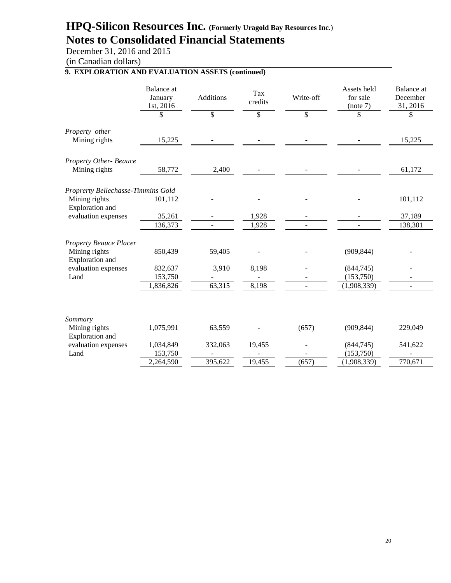December 31, 2016 and 2015

(in Canadian dollars)

# **9. EXPLORATION AND EVALUATION ASSETS (continued)**

|                                        | Balance at<br>January<br>1st, 2016 | <b>Additions</b> | Tax<br>credits | Write-off | Assets held<br>for sale<br>(note 7) | Balance at<br>December<br>31, 2016 |
|----------------------------------------|------------------------------------|------------------|----------------|-----------|-------------------------------------|------------------------------------|
|                                        | \$                                 | \$               | \$             | \$        | \$                                  | \$                                 |
| Property other<br>Mining rights        | 15,225                             |                  |                |           |                                     | 15,225                             |
| Property Other-Beauce<br>Mining rights | 58,772                             | 2,400            |                |           |                                     | 61,172                             |
| Proprerty Bellechasse-Timmins Gold     |                                    |                  |                |           |                                     |                                    |
| Mining rights<br>Exploration and       | 101,112                            |                  |                |           |                                     | 101,112                            |
| evaluation expenses                    | 35,261                             |                  | 1,928          |           |                                     | 37,189                             |
|                                        | 136,373                            |                  | 1,928          |           |                                     | 138,301                            |
| <b>Property Beauce Placer</b>          |                                    |                  |                |           |                                     |                                    |
| Mining rights<br>Exploration and       | 850,439                            | 59,405           |                |           | (909, 844)                          |                                    |
| evaluation expenses                    | 832,637                            | 3,910            | 8,198          |           | (844,745)                           |                                    |
| Land                                   | 153,750                            |                  |                |           | (153,750)                           |                                    |
|                                        | 1,836,826                          | 63,315           | 8,198          |           | (1,908,339)                         |                                    |
| Sommary                                |                                    |                  |                |           |                                     |                                    |
| Mining rights<br>Exploration and       | 1,075,991                          | 63,559           |                | (657)     | (909, 844)                          | 229,049                            |
| evaluation expenses                    | 1,034,849                          | 332,063          | 19,455         |           | (844,745)                           | 541,622                            |
| Land                                   | 153,750                            |                  |                |           | (153,750)                           |                                    |
|                                        | 2,264,590                          | 395,622          | 19,455         | (657)     | (1,908,339)                         | 770,671                            |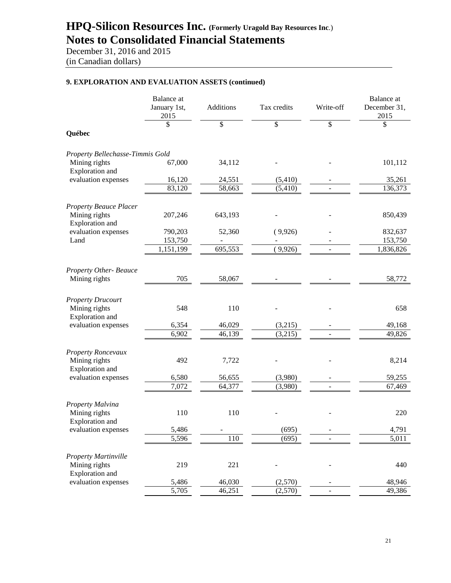December 31, 2016 and 2015 (in Canadian dollars)

### **9. EXPLORATION AND EVALUATION ASSETS (continued)**

|                                              | Balance at<br>January 1st,<br>2015 | Additions | Tax credits | Write-off      | <b>Balance</b> at<br>December 31,<br>2015 |
|----------------------------------------------|------------------------------------|-----------|-------------|----------------|-------------------------------------------|
|                                              | \$                                 | \$        | \$          | \$             | \$                                        |
| Québec                                       |                                    |           |             |                |                                           |
| Property Bellechasse-Timmis Gold             |                                    |           |             |                |                                           |
| Mining rights<br>Exploration and             | 67,000                             | 34,112    |             |                | 101,112                                   |
| evaluation expenses                          | 16,120                             | 24,551    | (5,410)     |                | 35,261                                    |
|                                              | 83,120                             | 58,663    | (5,410)     |                | 136,373                                   |
| <b>Property Beauce Placer</b>                |                                    |           |             |                |                                           |
| Mining rights<br>Exploration and             | 207,246                            | 643,193   |             |                | 850,439                                   |
| evaluation expenses                          | 790,203                            | 52,360    | (9,926)     |                | 832,637                                   |
| Land                                         | 153,750                            |           |             |                | 153,750                                   |
|                                              | 1,151,199                          | 695,553   | (9,926)     |                | $\overline{1,}836,826$                    |
| <b>Property Other-Beauce</b>                 |                                    |           |             |                |                                           |
| Mining rights                                | 705                                | 58,067    |             |                | 58,772                                    |
| <b>Property Drucourt</b>                     |                                    |           |             |                |                                           |
| Mining rights<br>Exploration and             | 548                                | 110       |             |                | 658                                       |
| evaluation expenses                          | 6,354                              | 46,029    | (3,215)     |                | 49,168                                    |
|                                              | 6,902                              | 46,139    | (3,215)     |                | 49,826                                    |
| Property Roncevaux                           |                                    |           |             |                |                                           |
| Mining rights<br>Exploration and             | 492                                | 7,722     |             |                | 8,214                                     |
| evaluation expenses                          | 6,580                              | 56,655    | (3,980)     |                | 59,255                                    |
|                                              | 7,072                              | 64,377    | (3,980)     | $\overline{a}$ | 67,469                                    |
| Property Malvina                             |                                    |           |             |                |                                           |
| Mining rights<br><b>Exploration</b> and      | 110                                | 110       |             |                | 220                                       |
| evaluation expenses                          | 5,486                              |           | (695)       |                | 4,791                                     |
|                                              | $\overline{5,596}$                 | 110       | (695)       |                | 5,011                                     |
| <b>Property Martinville</b><br>Mining rights | 219                                | 221       |             |                | 440                                       |
| Exploration and<br>evaluation expenses       | 5,486                              | 46,030    | (2,570)     |                | 48,946                                    |
|                                              | 5,705                              | 46,251    | (2,570)     |                | 49,386                                    |
|                                              |                                    |           |             |                |                                           |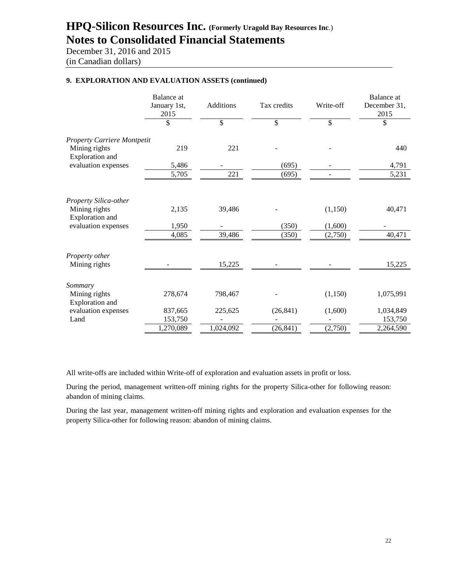December 31, 2016 and 2015 (in Canadian dollars)

## **9. EXPLORATION AND EVALUATION ASSETS (continued)**

|                                    | <b>Balance</b> at<br>January 1st,<br>2015 | <b>Additions</b> | Tax credits | Write-off | <b>Balance</b> at<br>December 31,<br>2015 |
|------------------------------------|-------------------------------------------|------------------|-------------|-----------|-------------------------------------------|
|                                    | \$                                        | \$               | \$          | \$        | \$                                        |
| <b>Property Carriere Montpetit</b> |                                           |                  |             |           |                                           |
| Mining rights<br>Exploration and   | 219                                       | 221              |             |           | 440                                       |
| evaluation expenses                | 5,486                                     |                  | (695)       |           | 4,791                                     |
|                                    | 5,705                                     | 221              | (695)       |           | 5,231                                     |
| Property Silica-other              |                                           |                  |             |           |                                           |
| Mining rights<br>Exploration and   | 2,135                                     | 39,486           |             | (1,150)   | 40,471                                    |
| evaluation expenses                | 1,950                                     |                  | (350)       | (1,600)   |                                           |
|                                    | 4,085                                     | 39,486           | (350)       | (2,750)   | 40,471                                    |
| Property other                     |                                           |                  |             |           |                                           |
| Mining rights                      |                                           | 15,225           |             |           | 15,225                                    |
| Sommary                            |                                           |                  |             |           |                                           |
| Mining rights<br>Exploration and   | 278,674                                   | 798,467          |             | (1,150)   | 1,075,991                                 |
| evaluation expenses                | 837,665                                   | 225,625          | (26, 841)   | (1,600)   | 1,034,849                                 |
| Land                               | 153,750                                   |                  |             |           | 153,750                                   |
|                                    | 1,270,089                                 | 1,024,092        | (26, 841)   | (2,750)   | 2,264,590                                 |

All write-offs are included within Write-off of exploration and evaluation assets in profit or loss.

During the period, management written-off mining rights for the property Silica-other for following reason: abandon of mining claims.

During the last year, management written-off mining rights and exploration and evaluation expenses for the property Silica-other for following reason: abandon of mining claims.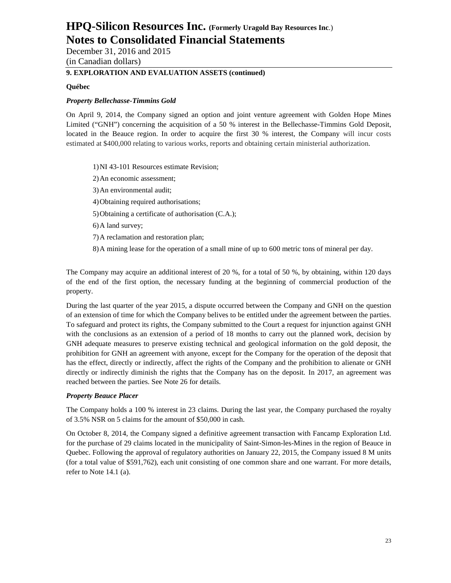December 31, 2016 and 2015 (in Canadian dollars)

# **9. EXPLORATION AND EVALUATION ASSETS (continued)**

#### **Québec**

#### *Property Bellechasse-Timmins Gold*

On April 9, 2014, the Company signed an option and joint venture agreement with Golden Hope Mines Limited ("GNH") concerning the acquisition of a 50 % interest in the Bellechasse-Timmins Gold Deposit, located in the Beauce region. In order to acquire the first 30 % interest, the Company will incur costs estimated at \$400,000 relating to various works, reports and obtaining certain ministerial authorization.

1)NI 43-101 Resources estimate Revision;

- 2)An economic assessment;
- 3)An environmental audit;
- 4)Obtaining required authorisations;
- 5)Obtaining a certificate of authorisation (C.A.);
- 6)A land survey;
- 7)A reclamation and restoration plan;
- 8)A mining lease for the operation of a small mine of up to 600 metric tons of mineral per day.

The Company may acquire an additional interest of 20 %, for a total of 50 %, by obtaining, within 120 days of the end of the first option, the necessary funding at the beginning of commercial production of the property.

During the last quarter of the year 2015, a dispute occurred between the Company and GNH on the question of an extension of time for which the Company belives to be entitled under the agreement between the parties. To safeguard and protect its rights, the Company submitted to the Court a request for injunction against GNH with the conclusions as an extension of a period of 18 months to carry out the planned work, decision by GNH adequate measures to preserve existing technical and geological information on the gold deposit, the prohibition for GNH an agreement with anyone, except for the Company for the operation of the deposit that has the effect, directly or indirectly, affect the rights of the Company and the prohibition to alienate or GNH directly or indirectly diminish the rights that the Company has on the deposit. In 2017, an agreement was reached between the parties. See Note 26 for details.

#### *Property Beauce Placer*

The Company holds a 100 % interest in 23 claims. During the last year, the Company purchased the royalty of 3.5% NSR on 5 claims for the amount of \$50,000 in cash.

On October 8, 2014, the Company signed a definitive agreement transaction with Fancamp Exploration Ltd. for the purchase of 29 claims located in the municipality of Saint-Simon-les-Mines in the region of Beauce in Quebec. Following the approval of regulatory authorities on January 22, 2015, the Company issued 8 M units (for a total value of \$591,762), each unit consisting of one common share and one warrant. For more details, refer to Note 14.1 (a).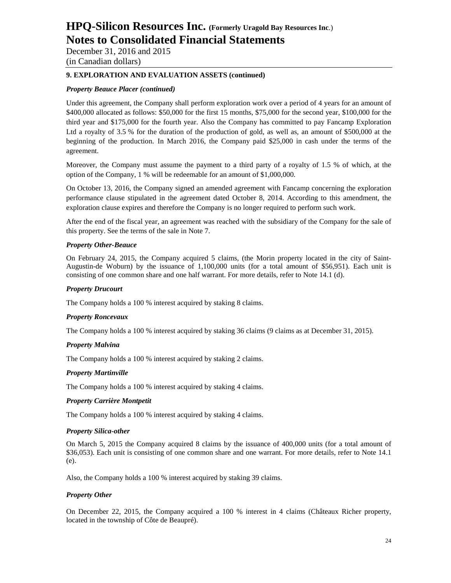December 31, 2016 and 2015 (in Canadian dollars)

### **9. EXPLORATION AND EVALUATION ASSETS (continued)**

### *Property Beauce Placer (continued)*

Under this agreement, the Company shall perform exploration work over a period of 4 years for an amount of \$400,000 allocated as follows: \$50,000 for the first 15 months, \$75,000 for the second year, \$100,000 for the third year and \$175,000 for the fourth year. Also the Company has committed to pay Fancamp Exploration Ltd a royalty of 3.5 % for the duration of the production of gold, as well as, an amount of \$500,000 at the beginning of the production. In March 2016, the Company paid \$25,000 in cash under the terms of the agreement.

Moreover, the Company must assume the payment to a third party of a royalty of 1.5 % of which, at the option of the Company, 1 % will be redeemable for an amount of \$1,000,000.

On October 13, 2016, the Company signed an amended agreement with Fancamp concerning the exploration performance clause stipulated in the agreement dated October 8, 2014. According to this amendment, the exploration clause expires and therefore the Company is no longer required to perform such work.

After the end of the fiscal year, an agreement was reached with the subsidiary of the Company for the sale of this property. See the terms of the sale in Note 7.

#### *Property Other-Beauce*

On February 24, 2015, the Company acquired 5 claims, (the Morin property located in the city of Saint-Augustin-de Woburn) by the issuance of 1,100,000 units (for a total amount of \$56,951). Each unit is consisting of one common share and one half warrant. For more details, refer to Note 14.1 (d).

#### *Property Drucourt*

The Company holds a 100 % interest acquired by staking 8 claims.

#### *Property Roncevaux*

The Company holds a 100 % interest acquired by staking 36 claims (9 claims as at December 31, 2015).

#### *Property Malvina*

The Company holds a 100 % interest acquired by staking 2 claims.

#### *Property Martinville*

The Company holds a 100 % interest acquired by staking 4 claims.

#### *Property Carrière Montpetit*

The Company holds a 100 % interest acquired by staking 4 claims.

#### *Property Silica-other*

On March 5, 2015 the Company acquired 8 claims by the issuance of 400,000 units (for a total amount of \$36,053). Each unit is consisting of one common share and one warrant. For more details, refer to Note 14.1 (e).

Also, the Company holds a 100 % interest acquired by staking 39 claims.

#### *Property Other*

On December 22, 2015, the Company acquired a 100 % interest in 4 claims (Châteaux Richer property, located in the township of Côte de Beaupré).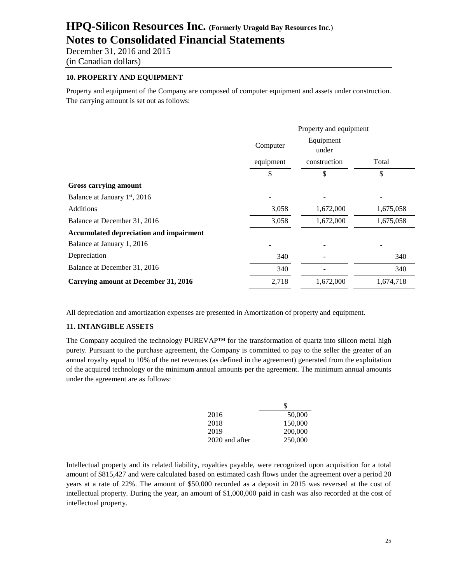December 31, 2016 and 2015 (in Canadian dollars)

### **10. PROPERTY AND EQUIPMENT**

Property and equipment of the Company are composed of computer equipment and assets under construction. The carrying amount is set out as follows:

|                                             | Property and equipment         |              |           |  |
|---------------------------------------------|--------------------------------|--------------|-----------|--|
|                                             | Equipment<br>Computer<br>under |              |           |  |
|                                             | equipment                      | construction | Total     |  |
|                                             | \$                             | \$           | \$        |  |
| Gross carrying amount                       |                                |              |           |  |
| Balance at January 1 <sup>st</sup> , 2016   |                                |              |           |  |
| <b>Additions</b>                            | 3,058                          | 1,672,000    | 1,675,058 |  |
| Balance at December 31, 2016                | 3,058                          | 1,672,000    | 1,675,058 |  |
| Accumulated depreciation and impairment     |                                |              |           |  |
| Balance at January 1, 2016                  |                                |              |           |  |
| Depreciation                                | 340                            |              | 340       |  |
| Balance at December 31, 2016                | 340                            |              | 340       |  |
| <b>Carrying amount at December 31, 2016</b> | 2,718                          | 1,672,000    | 1,674,718 |  |

All depreciation and amortization expenses are presented in Amortization of property and equipment.

#### **11. INTANGIBLE ASSETS**

The Company acquired the technology PUREVAP™ for the transformation of quartz into silicon metal high purety. Pursuant to the purchase agreement, the Company is committed to pay to the seller the greater of an annual royalty equal to 10% of the net revenues (as defined in the agreement) generated from the exploitation of the acquired technology or the minimum annual amounts per the agreement. The minimum annual amounts under the agreement are as follows:

|                | ж,      |
|----------------|---------|
| 2016           | 50,000  |
| 2018           | 150,000 |
| 2019           | 200,000 |
| 2020 and after | 250,000 |

Intellectual property and its related liability, royalties payable, were recognized upon acquisition for a total amount of \$815,427 and were calculated based on estimated cash flows under the agreement over a period 20 years at a rate of 22%. The amount of \$50,000 recorded as a deposit in 2015 was reversed at the cost of intellectual property. During the year, an amount of \$1,000,000 paid in cash was also recorded at the cost of intellectual property.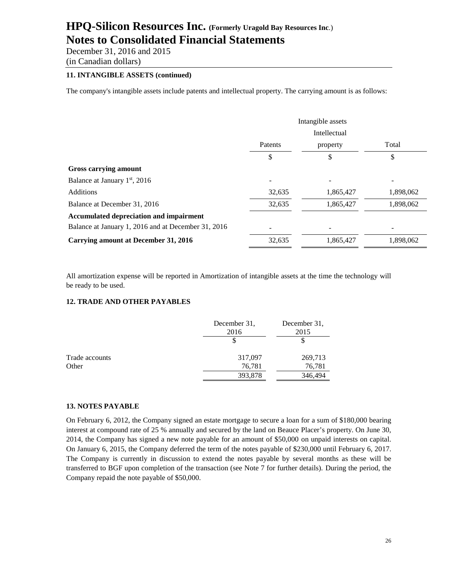December 31, 2016 and 2015 (in Canadian dollars)

### **11. INTANGIBLE ASSETS (continued)**

The company's intangible assets include patents and intellectual property. The carrying amount is as follows:

|                                                     | Intangible assets   |           |           |
|-----------------------------------------------------|---------------------|-----------|-----------|
|                                                     | <b>Intellectual</b> |           |           |
|                                                     | Patents             | property  | Total     |
|                                                     | \$                  | \$        | \$        |
| Gross carrying amount                               |                     |           |           |
| Balance at January 1 <sup>st</sup> , 2016           |                     | -         |           |
| <b>Additions</b>                                    | 32,635              | 1,865,427 | 1,898,062 |
| Balance at December 31, 2016                        | 32,635              | 1,865,427 | 1,898,062 |
| Accumulated depreciation and impairment             |                     |           |           |
| Balance at January 1, 2016 and at December 31, 2016 |                     |           |           |
| Carrying amount at December 31, 2016                | 32,635              | 1,865,427 | 1,898,062 |

All amortization expense will be reported in Amortization of intangible assets at the time the technology will be ready to be used.

# **12. TRADE AND OTHER PAYABLES**

|                | December 31,<br>2016 | December 31,<br>2015 |
|----------------|----------------------|----------------------|
|                |                      |                      |
| Trade accounts | 317,097              | 269,713              |
| Other          | 76,781               | 76,781               |
|                | 393,878              | 346,494              |
|                |                      |                      |

#### **13. NOTES PAYABLE**

On February 6, 2012, the Company signed an estate mortgage to secure a loan for a sum of \$180,000 bearing interest at compound rate of 25 % annually and secured by the land on Beauce Placer's property. On June 30, 2014, the Company has signed a new note payable for an amount of \$50,000 on unpaid interests on capital. On January 6, 2015, the Company deferred the term of the notes payable of \$230,000 until February 6, 2017. The Company is currently in discussion to extend the notes payable by several months as these will be transferred to BGF upon completion of the transaction (see Note 7 for further details). During the period, the Company repaid the note payable of \$50,000.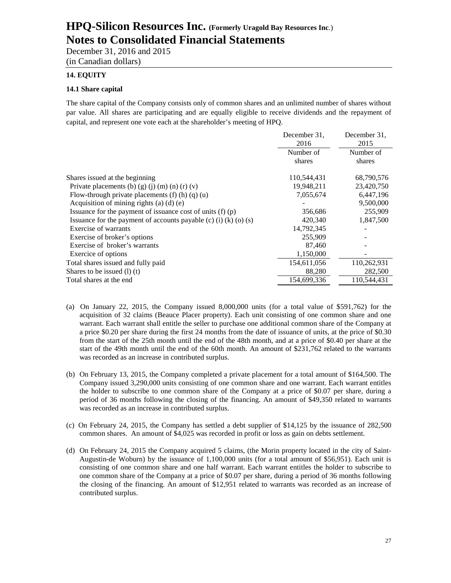December 31, 2016 and 2015 (in Canadian dollars)

### **14. EQUITY**

### **14.1 Share capital**

The share capital of the Company consists only of common shares and an unlimited number of shares without par value. All shares are participating and are equally eligible to receive dividends and the repayment of capital, and represent one vote each at the shareholder's meeting of HPQ.

|                                                                  | December 31. | December 31. |
|------------------------------------------------------------------|--------------|--------------|
|                                                                  | 2016         | 2015         |
|                                                                  | Number of    | Number of    |
|                                                                  | shares       | shares       |
| Shares issued at the beginning                                   | 110,544,431  | 68,790,576   |
| Private placements (b) (g) (j) (m) (n) (r) (v)                   | 19,948,211   | 23,420,750   |
| Flow-through private placements $(f)$ (h) $(q)$ (u)              | 7,055,674    | 6,447,196    |
| Acquisition of mining rights (a) $(d)$ (e)                       |              | 9,500,000    |
| Issuance for the payment of issuance cost of units $(f)(p)$      | 356,686      | 255,909      |
| Issuance for the payment of accounts payable (c) (i) (k) (o) (s) | 420,340      | 1,847,500    |
| Exercise of warrants                                             | 14,792,345   |              |
| Exercise of broker's options                                     | 255,909      |              |
| Exercise of broker's warrants                                    | 87,460       |              |
| Exercice of options                                              | 1,150,000    |              |
| Total shares issued and fully paid                               | 154,611,056  | 110,262,931  |
| Shares to be issued $(l)$ (t)                                    | 88,280       | 282,500      |
| Total shares at the end                                          | 154,699,336  | 110.544.431  |
|                                                                  |              |              |

- (a) On January 22, 2015, the Company issued 8,000,000 units (for a total value of \$591,762) for the acquisition of 32 claims (Beauce Placer property). Each unit consisting of one common share and one warrant. Each warrant shall entitle the seller to purchase one additional common share of the Company at a price \$0.20 per share during the first 24 months from the date of issuance of units, at the price of \$0.30 from the start of the 25th month until the end of the 48th month, and at a price of \$0.40 per share at the start of the 49th month until the end of the 60th month. An amount of \$231,762 related to the warrants was recorded as an increase in contributed surplus.
- (b) On February 13, 2015, the Company completed a private placement for a total amount of \$164,500. The Company issued 3,290,000 units consisting of one common share and one warrant. Each warrant entitles the holder to subscribe to one common share of the Company at a price of \$0.07 per share, during a period of 36 months following the closing of the financing. An amount of \$49,350 related to warrants was recorded as an increase in contributed surplus.
- (c) On February 24, 2015, the Company has settled a debt supplier of \$14,125 by the issuance of 282,500 common shares. An amount of \$4,025 was recorded in profit or loss as gain on debts settlement.
- (d) On February 24, 2015 the Company acquired 5 claims, (the Morin property located in the city of Saint-Augustin-de Woburn) by the issuance of 1,100,000 units (for a total amount of \$56,951). Each unit is consisting of one common share and one half warrant. Each warrant entitles the holder to subscribe to one common share of the Company at a price of \$0.07 per share, during a period of 36 months following the closing of the financing. An amount of \$12,951 related to warrants was recorded as an increase of contributed surplus.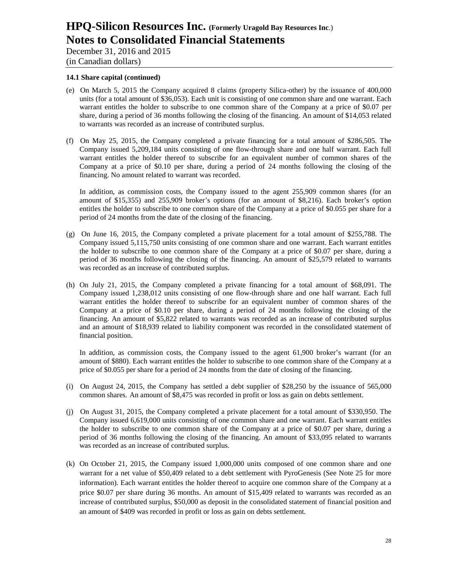December 31, 2016 and 2015 (in Canadian dollars)

#### **14.1 Share capital (continued)**

- (e) On March 5, 2015 the Company acquired 8 claims (property Silica-other) by the issuance of 400,000 units (for a total amount of \$36,053). Each unit is consisting of one common share and one warrant. Each warrant entitles the holder to subscribe to one common share of the Company at a price of \$0.07 per share, during a period of 36 months following the closing of the financing. An amount of \$14,053 related to warrants was recorded as an increase of contributed surplus.
- (f) On May 25, 2015, the Company completed a private financing for a total amount of \$286,505. The Company issued 5,209,184 units consisting of one flow-through share and one half warrant. Each full warrant entitles the holder thereof to subscribe for an equivalent number of common shares of the Company at a price of \$0.10 per share, during a period of 24 months following the closing of the financing. No amount related to warrant was recorded.

In addition, as commission costs, the Company issued to the agent 255,909 common shares (for an amount of \$15,355) and 255,909 broker's options (for an amount of \$8,216). Each broker's option entitles the holder to subscribe to one common share of the Company at a price of \$0.055 per share for a period of 24 months from the date of the closing of the financing.

- (g) On June 16, 2015, the Company completed a private placement for a total amount of \$255,788. The Company issued 5,115,750 units consisting of one common share and one warrant. Each warrant entitles the holder to subscribe to one common share of the Company at a price of \$0.07 per share, during a period of 36 months following the closing of the financing. An amount of \$25,579 related to warrants was recorded as an increase of contributed surplus.
- (h) On July 21, 2015, the Company completed a private financing for a total amount of \$68,091. The Company issued 1,238,012 units consisting of one flow-through share and one half warrant. Each full warrant entitles the holder thereof to subscribe for an equivalent number of common shares of the Company at a price of \$0.10 per share, during a period of 24 months following the closing of the financing. An amount of \$5,822 related to warrants was recorded as an increase of contributed surplus and an amount of \$18,939 related to liability component was recorded in the consolidated statement of financial position.

In addition, as commission costs, the Company issued to the agent 61,900 broker's warrant (for an amount of \$880). Each warrant entitles the holder to subscribe to one common share of the Company at a price of \$0.055 per share for a period of 24 months from the date of closing of the financing.

- (i) On August 24, 2015, the Company has settled a debt supplier of \$28,250 by the issuance of 565,000 common shares. An amount of \$8,475 was recorded in profit or loss as gain on debts settlement.
- (j) On August 31, 2015, the Company completed a private placement for a total amount of \$330,950. The Company issued 6,619,000 units consisting of one common share and one warrant. Each warrant entitles the holder to subscribe to one common share of the Company at a price of \$0.07 per share, during a period of 36 months following the closing of the financing. An amount of \$33,095 related to warrants was recorded as an increase of contributed surplus.
- (k) On October 21, 2015, the Company issued 1,000,000 units composed of one common share and one warrant for a net value of \$50,409 related to a debt settlement with PyroGenesis (See Note 25 for more information). Each warrant entitles the holder thereof to acquire one common share of the Company at a price \$0.07 per share during 36 months. An amount of \$15,409 related to warrants was recorded as an increase of contributed surplus, \$50,000 as deposit in the consolidated statement of financial position and an amount of \$409 was recorded in profit or loss as gain on debts settlement.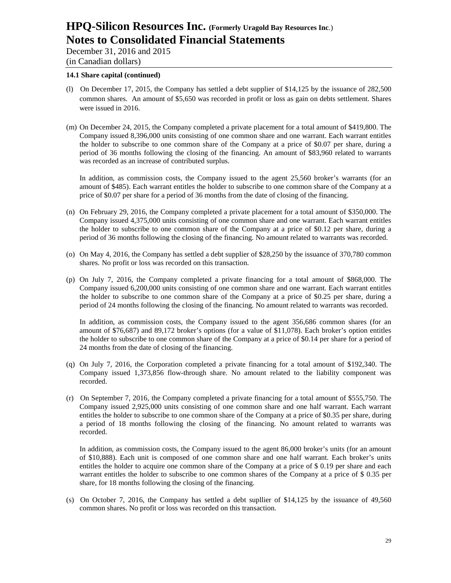December 31, 2016 and 2015 (in Canadian dollars)

#### **14.1 Share capital (continued)**

- (l) On December 17, 2015, the Company has settled a debt supplier of \$14,125 by the issuance of 282,500 common shares. An amount of \$5,650 was recorded in profit or loss as gain on debts settlement. Shares were issued in 2016.
- (m) On December 24, 2015, the Company completed a private placement for a total amount of \$419,800. The Company issued 8,396,000 units consisting of one common share and one warrant. Each warrant entitles the holder to subscribe to one common share of the Company at a price of \$0.07 per share, during a period of 36 months following the closing of the financing. An amount of \$83,960 related to warrants was recorded as an increase of contributed surplus.

In addition, as commission costs, the Company issued to the agent 25,560 broker's warrants (for an amount of \$485). Each warrant entitles the holder to subscribe to one common share of the Company at a price of \$0.07 per share for a period of 36 months from the date of closing of the financing.

- (n) On February 29, 2016, the Company completed a private placement for a total amount of \$350,000. The Company issued 4,375,000 units consisting of one common share and one warrant. Each warrant entitles the holder to subscribe to one common share of the Company at a price of \$0.12 per share, during a period of 36 months following the closing of the financing. No amount related to warrants was recorded.
- (o) On May 4, 2016, the Company has settled a debt supplier of \$28,250 by the issuance of 370,780 common shares. No profit or loss was recorded on this transaction.
- (p) On July 7, 2016, the Company completed a private financing for a total amount of \$868,000. The Company issued 6,200,000 units consisting of one common share and one warrant. Each warrant entitles the holder to subscribe to one common share of the Company at a price of \$0.25 per share, during a period of 24 months following the closing of the financing. No amount related to warrants was recorded.

In addition, as commission costs, the Company issued to the agent 356,686 common shares (for an amount of \$76,687) and 89,172 broker's options (for a value of \$11,078). Each broker's option entitles the holder to subscribe to one common share of the Company at a price of \$0.14 per share for a period of 24 months from the date of closing of the financing.

- (q) On July 7, 2016, the Corporation completed a private financing for a total amount of \$192,340. The Company issued 1,373,856 flow-through share. No amount related to the liability component was recorded.
- (r) On September 7, 2016, the Company completed a private financing for a total amount of \$555,750. The Company issued 2,925,000 units consisting of one common share and one half warrant. Each warrant entitles the holder to subscribe to one common share of the Company at a price of \$0.35 per share, during a period of 18 months following the closing of the financing. No amount related to warrants was recorded.

In addition, as commission costs, the Company issued to the agent 86,000 broker's units (for an amount of \$10,888). Each unit is composed of one common share and one half warrant. Each broker's units entitles the holder to acquire one common share of the Company at a price of \$ 0.19 per share and each warrant entitles the holder to subscribe to one common shares of the Company at a price of \$ 0.35 per share, for 18 months following the closing of the financing.

(s) On October 7, 2016, the Company has settled a debt supllier of \$14,125 by the issuance of 49,560 common shares. No profit or loss was recorded on this transaction.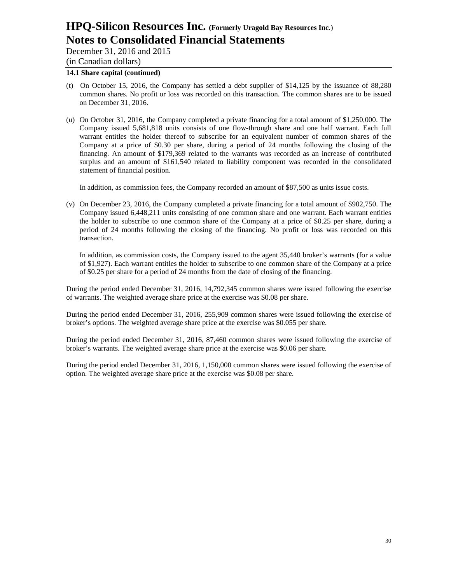December 31, 2016 and 2015

(in Canadian dollars)

#### **14.1 Share capital (continued)**

- (t) On October 15, 2016, the Company has settled a debt supplier of \$14,125 by the issuance of 88,280 common shares. No profit or loss was recorded on this transaction. The common shares are to be issued on December 31, 2016.
- (u) On October 31, 2016, the Company completed a private financing for a total amount of \$1,250,000. The Company issued 5,681,818 units consists of one flow-through share and one half warrant. Each full warrant entitles the holder thereof to subscribe for an equivalent number of common shares of the Company at a price of \$0.30 per share, during a period of 24 months following the closing of the financing. An amount of \$179,369 related to the warrants was recorded as an increase of contributed surplus and an amount of \$161,540 related to liability component was recorded in the consolidated statement of financial position.

In addition, as commission fees, the Company recorded an amount of \$87,500 as units issue costs.

(v) On December 23, 2016, the Company completed a private financing for a total amount of \$902,750. The Company issued 6,448,211 units consisting of one common share and one warrant. Each warrant entitles the holder to subscribe to one common share of the Company at a price of \$0.25 per share, during a period of 24 months following the closing of the financing. No profit or loss was recorded on this transaction.

In addition, as commission costs, the Company issued to the agent 35,440 broker's warrants (for a value of \$1,927). Each warrant entitles the holder to subscribe to one common share of the Company at a price of \$0.25 per share for a period of 24 months from the date of closing of the financing.

During the period ended December 31, 2016, 14,792,345 common shares were issued following the exercise of warrants. The weighted average share price at the exercise was \$0.08 per share.

During the period ended December 31, 2016, 255,909 common shares were issued following the exercise of broker's options. The weighted average share price at the exercise was \$0.055 per share.

During the period ended December 31, 2016, 87,460 common shares were issued following the exercise of broker's warrants. The weighted average share price at the exercise was \$0.06 per share.

During the period ended December 31, 2016, 1,150,000 common shares were issued following the exercise of option. The weighted average share price at the exercise was \$0.08 per share.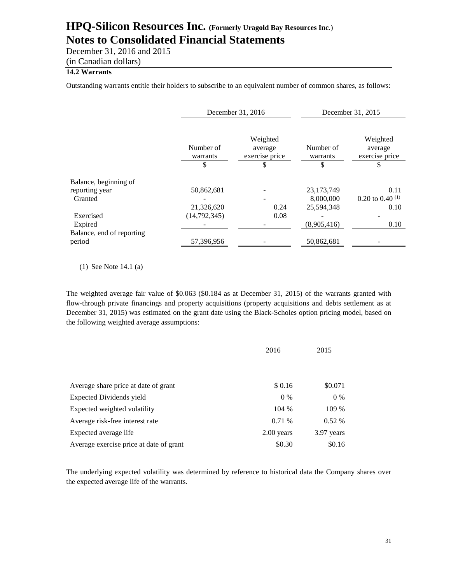December 31, 2016 and 2015

(in Canadian dollars)

# **14.2 Warrants**

Outstanding warrants entitle their holders to subscribe to an equivalent number of common shares, as follows:

|                           |                             | December 31, 2016                           |                             | December 31, 2015                          |
|---------------------------|-----------------------------|---------------------------------------------|-----------------------------|--------------------------------------------|
|                           | Number of<br>warrants<br>\$ | Weighted<br>average<br>exercise price<br>\$ | Number of<br>warrants<br>\$ | Weighted<br>average<br>exercise price<br>S |
| Balance, beginning of     |                             |                                             |                             |                                            |
| reporting year            | 50,862,681                  |                                             | 23,173,749                  | 0.11                                       |
| Granted                   |                             |                                             | 8,000,000                   | 0.20 to 0.40 $^{(1)}$                      |
|                           | 21,326,620                  | 0.24                                        | 25,594,348                  | 0.10                                       |
| Exercised                 | (14,792,345)                | 0.08                                        |                             |                                            |
| Expired                   |                             |                                             | (8,905,416)                 | 0.10                                       |
| Balance, end of reporting |                             |                                             |                             |                                            |
| period                    | 57,396,956                  |                                             | 50,862,681                  |                                            |

(1) See Note 14.1 (a)

The weighted average fair value of \$0.063 (\$0.184 as at December 31, 2015) of the warrants granted with flow-through private financings and property acquisitions (property acquisitions and debts settlement as at December 31, 2015) was estimated on the grant date using the Black-Scholes option pricing model, based on the following weighted average assumptions:

|                                         | 2016         | 2015       |
|-----------------------------------------|--------------|------------|
|                                         |              |            |
| Average share price at date of grant    | \$0.16       | \$0.071    |
| <b>Expected Dividends yield</b>         | $0\%$        | $0\%$      |
| Expected weighted volatility            | 104 %        | 109 %      |
| Average risk-free interest rate         | 0.71 %       | $0.52\%$   |
| Expected average life                   | $2.00$ years | 3.97 years |
| Average exercise price at date of grant | \$0.30       | \$0.16     |

The underlying expected volatility was determined by reference to historical data the Company shares over the expected average life of the warrants.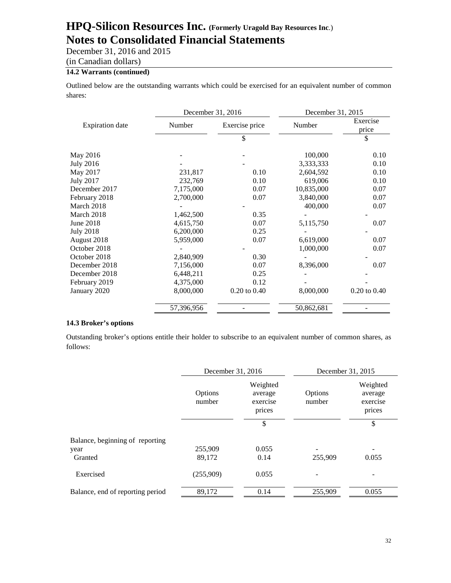December 31, 2016 and 2015

(in Canadian dollars)

# **14.2 Warrants (continued)**

Outlined below are the outstanding warrants which could be exercised for an equivalent number of common shares:

|                        | December 31, 2016 |                  | December 31, 2015 |                   |
|------------------------|-------------------|------------------|-------------------|-------------------|
| <b>Expiration</b> date | Number            | Exercise price   | Number            | Exercise<br>price |
|                        |                   | \$               |                   | \$                |
| May 2016               |                   |                  | 100,000           | 0.10              |
| July 2016              |                   |                  | 3,333,333         | 0.10              |
| May 2017               | 231,817           | 0.10             | 2,604,592         | 0.10              |
| July 2017              | 232,769           | 0.10             | 619,006           | 0.10              |
| December 2017          | 7,175,000         | 0.07             | 10,835,000        | 0.07              |
| February 2018          | 2,700,000         | 0.07             | 3,840,000         | 0.07              |
| March 2018             |                   |                  | 400,000           | 0.07              |
| March 2018             | 1,462,500         | 0.35             |                   |                   |
| June 2018              | 4,615,750         | 0.07             | 5,115,750         | 0.07              |
| <b>July 2018</b>       | 6,200,000         | 0.25             |                   |                   |
| August 2018            | 5,959,000         | 0.07             | 6,619,000         | 0.07              |
| October 2018           |                   |                  | 1,000,000         | 0.07              |
| October 2018           | 2,840,909         | 0.30             |                   |                   |
| December 2018          | 7,156,000         | 0.07             | 8,396,000         | 0.07              |
| December 2018          | 6,448,211         | 0.25             |                   |                   |
| February 2019          | 4,375,000         | 0.12             |                   |                   |
| January 2020           | 8,000,000         | $0.20$ to $0.40$ | 8,000,000         | $0.20$ to $0.40$  |
|                        | 57,396,956        |                  | 50,862,681        |                   |

#### **14.3 Broker's options**

Outstanding broker's options entitle their holder to subscribe to an equivalent number of common shares, as follows:

|                                  | December 31, 2016                                              |       | December 31, 2015 |                                           |
|----------------------------------|----------------------------------------------------------------|-------|-------------------|-------------------------------------------|
|                                  | Weighted<br>Options<br>average<br>number<br>exercise<br>prices |       | Options<br>number | Weighted<br>average<br>exercise<br>prices |
|                                  |                                                                | \$    |                   | \$                                        |
| Balance, beginning of reporting  |                                                                |       |                   |                                           |
| year                             | 255,909                                                        | 0.055 |                   |                                           |
| Granted                          | 89,172                                                         | 0.14  | 255,909           | 0.055                                     |
| Exercised                        | (255,909)                                                      | 0.055 |                   |                                           |
| Balance, end of reporting period | 89,172                                                         | 0.14  | 255,909           | 0.055                                     |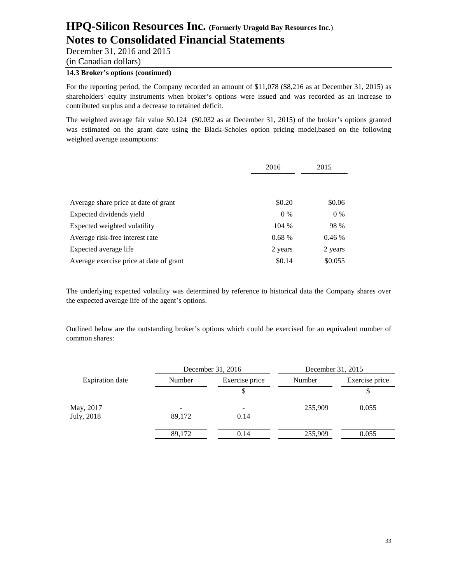December 31, 2016 and 2015

(in Canadian dollars)

# **14.3 Broker's options (continued)**

For the reporting period, the Company recorded an amount of \$11,078 (\$8,216 as at December 31, 2015) as shareholders' equity instruments when broker's options were issued and was recorded as an increase to contributed surplus and a decrease to retained deficit.

The weighted average fair value \$0.124 (\$0.032 as at December 31, 2015) of the broker's options granted was estimated on the grant date using the Black-Scholes option pricing model,based on the following weighted average assumptions:

|                                         | 2016    | 2015    |
|-----------------------------------------|---------|---------|
|                                         |         |         |
| Average share price at date of grant    | \$0.20  | \$0.06  |
| Expected dividends yield                | $0\%$   | $0\%$   |
| Expected weighted volatility            | 104 %   | 98 %    |
| Average risk-free interest rate         | 0.68%   | 0.46%   |
| Expected average life                   | 2 years | 2 years |
| Average exercise price at date of grant | \$0.14  | \$0.055 |

The underlying expected volatility was determined by reference to historical data the Company shares over the expected average life of the agent's options.

Outlined below are the outstanding broker's options which could be exercised for an equivalent number of common shares:

| December 31, 2016 |                | December 31, 2015 |                |
|-------------------|----------------|-------------------|----------------|
| Number            | Exercise price | Number            | Exercise price |
|                   |                |                   | S              |
|                   |                | 255,909           | 0.055          |
| 89,172            | 0.14           |                   |                |
| 89,172            | 0.14           | 255,909           | 0.055          |
|                   |                |                   |                |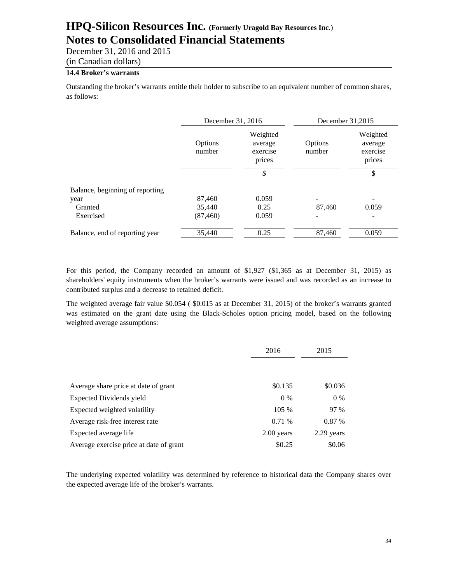December 31, 2016 and 2015 (in Canadian dollars)

#### **14.4 Broker's warrants**

Outstanding the broker's warrants entitle their holder to subscribe to an equivalent number of common shares, as follows:

|                                 | December 31, 2016 |                                           | December 31,2015  |                                           |
|---------------------------------|-------------------|-------------------------------------------|-------------------|-------------------------------------------|
|                                 | Options<br>number | Weighted<br>average<br>exercise<br>prices | Options<br>number | Weighted<br>average<br>exercise<br>prices |
|                                 |                   | \$                                        |                   | \$                                        |
| Balance, beginning of reporting |                   |                                           |                   |                                           |
| year                            | 87,460            | 0.059                                     |                   |                                           |
| Granted                         | 35,440            | 0.25                                      | 87,460            | 0.059                                     |
| Exercised                       | (87, 460)         | 0.059                                     |                   |                                           |
| Balance, end of reporting year  | 35,440            | 0.25                                      | 87,460            | 0.059                                     |

For this period, the Company recorded an amount of \$1,927 (\$1,365 as at December 31, 2015) as shareholders' equity instruments when the broker's warrants were issued and was recorded as an increase to contributed surplus and a decrease to retained deficit.

The weighted average fair value \$0.054 ( \$0.015 as at December 31, 2015) of the broker's warrants granted was estimated on the grant date using the Black-Scholes option pricing model, based on the following weighted average assumptions:

|                                         | 2016         | 2015       |  |
|-----------------------------------------|--------------|------------|--|
| Average share price at date of grant    | \$0.135      | \$0.036    |  |
| <b>Expected Dividends yield</b>         | $0\%$        | $0\%$      |  |
| Expected weighted volatility            | 105 %        | 97 %       |  |
| Average risk-free interest rate         | 0.71 %       | 0.87%      |  |
| Expected average life                   | $2.00$ years | 2.29 years |  |
| Average exercise price at date of grant | \$0.25       | \$0.06     |  |

The underlying expected volatility was determined by reference to historical data the Company shares over the expected average life of the broker's warrants.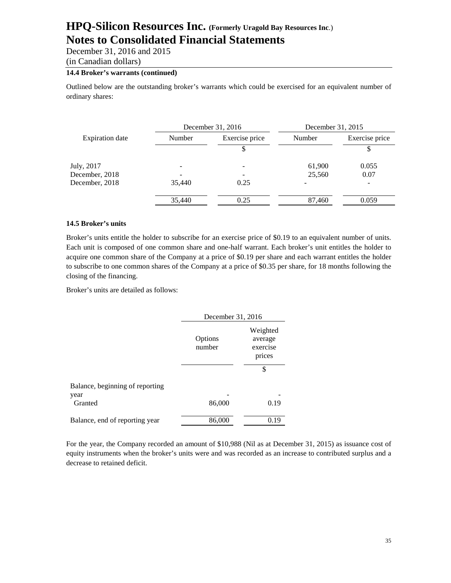December 31, 2016 and 2015

(in Canadian dollars)

# **14.4 Broker's warrants (continued)**

Outlined below are the outstanding broker's warrants which could be exercised for an equivalent number of ordinary shares:

|                        |        | December 31, 2016 |        | December 31, 2015 |  |
|------------------------|--------|-------------------|--------|-------------------|--|
| <b>Expiration</b> date | Number | Exercise price    | Number | Exercise price    |  |
|                        |        |                   |        |                   |  |
| July, 2017             |        |                   | 61,900 | 0.055             |  |
| December, 2018         |        |                   | 25,560 | 0.07              |  |
| December, 2018         | 35,440 | 0.25              |        |                   |  |
|                        | 35,440 | 0.25              | 87,460 | 0.059             |  |

#### **14.5 Broker's units**

Broker's units entitle the holder to subscribe for an exercise price of \$0.19 to an equivalent number of units. Each unit is composed of one common share and one-half warrant. Each broker's unit entitles the holder to acquire one common share of the Company at a price of \$0.19 per share and each warrant entitles the holder to subscribe to one common shares of the Company at a price of \$0.35 per share, for 18 months following the closing of the financing.

Broker's units are detailed as follows:

| December 31, 2016 |                                           |
|-------------------|-------------------------------------------|
| Options<br>number | Weighted<br>average<br>exercise<br>prices |
|                   | \$                                        |
|                   |                                           |
|                   | 0.19                                      |
| 86,000            | 0.19                                      |
|                   | 86,000                                    |

For the year, the Company recorded an amount of \$10,988 (Nil as at December 31, 2015) as issuance cost of equity instruments when the broker's units were and was recorded as an increase to contributed surplus and a decrease to retained deficit.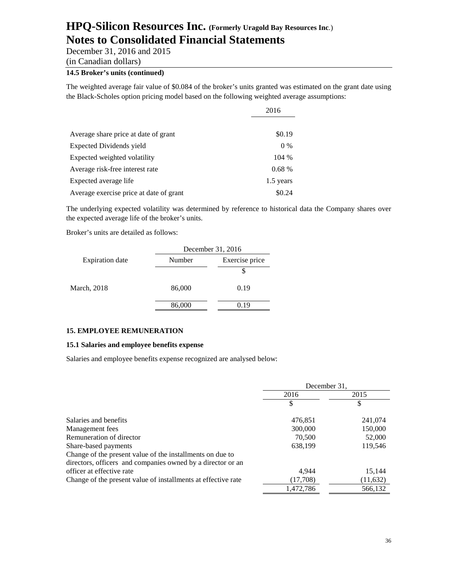December 31, 2016 and 2015

(in Canadian dollars)

# **14.5 Broker's units (continued)**

The weighted average fair value of \$0.084 of the broker's units granted was estimated on the grant date using the Black-Scholes option pricing model based on the following weighted average assumptions:

|                                         | 2016      |  |
|-----------------------------------------|-----------|--|
| Average share price at date of grant    | \$0.19    |  |
| Expected Dividends yield                | $0\%$     |  |
| Expected weighted volatility            | $104\%$   |  |
| Average risk-free interest rate         | 0.68%     |  |
| Expected average life                   | 1.5 years |  |
| Average exercise price at date of grant | \$0.24    |  |

The underlying expected volatility was determined by reference to historical data the Company shares over the expected average life of the broker's units.

Broker's units are detailed as follows:

|                        | December 31, 2016        |      |  |
|------------------------|--------------------------|------|--|
| <b>Expiration</b> date | Exercise price<br>Number |      |  |
|                        |                          |      |  |
| March, 2018            | 86,000                   | 0.19 |  |
|                        | 86,000                   |      |  |

#### **15. EMPLOYEE REMUNERATION**

#### **15.1 Salaries and employee benefits expense**

Salaries and employee benefits expense recognized are analysed below:

|                                                               | December 31, |           |
|---------------------------------------------------------------|--------------|-----------|
|                                                               | 2016         | 2015      |
|                                                               | \$           | \$        |
| Salaries and benefits                                         | 476,851      | 241,074   |
| Management fees                                               | 300,000      | 150,000   |
| Remuneration of director                                      | 70,500       | 52,000    |
| Share-based payments                                          | 638,199      | 119,546   |
| Change of the present value of the installments on due to     |              |           |
| directors, officers and companies owned by a director or an   |              |           |
| officer at effective rate                                     | 4.944        | 15,144    |
| Change of the present value of installments at effective rate | (17,708)     | (11, 632) |
|                                                               | 1,472,786    | 566.132   |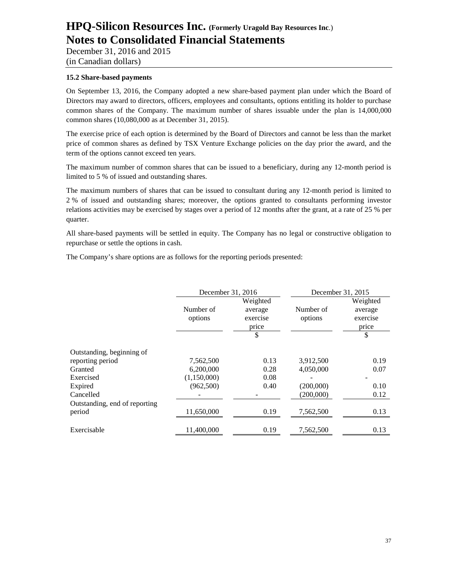December 31, 2016 and 2015 (in Canadian dollars)

### **15.2 Share-based payments**

On September 13, 2016, the Company adopted a new share-based payment plan under which the Board of Directors may award to directors, officers, employees and consultants, options entitling its holder to purchase common shares of the Company. The maximum number of shares issuable under the plan is 14,000,000 common shares (10,080,000 as at December 31, 2015).

The exercise price of each option is determined by the Board of Directors and cannot be less than the market price of common shares as defined by TSX Venture Exchange policies on the day prior the award, and the term of the options cannot exceed ten years.

The maximum number of common shares that can be issued to a beneficiary, during any 12-month period is limited to 5 % of issued and outstanding shares.

The maximum numbers of shares that can be issued to consultant during any 12-month period is limited to 2 % of issued and outstanding shares; moreover, the options granted to consultants performing investor relations activities may be exercised by stages over a period of 12 months after the grant, at a rate of 25 % per quarter.

All share-based payments will be settled in equity. The Company has no legal or constructive obligation to repurchase or settle the options in cash.

The Company's share options are as follows for the reporting periods presented:

|                               | December 31, 2016    |                                          | December 31, 2015    |                                          |
|-------------------------------|----------------------|------------------------------------------|----------------------|------------------------------------------|
|                               | Number of<br>options | Weighted<br>average<br>exercise<br>price | Number of<br>options | Weighted<br>average<br>exercise<br>price |
|                               |                      | \$                                       |                      | \$                                       |
| Outstanding, beginning of     |                      |                                          |                      |                                          |
| reporting period              | 7,562,500            | 0.13                                     | 3,912,500            | 0.19                                     |
| Granted                       | 6.200,000            | 0.28                                     | 4,050,000            | 0.07                                     |
| Exercised                     | (1,150,000)          | 0.08                                     |                      |                                          |
| Expired                       | (962,500)            | 0.40                                     | (200,000)            | 0.10                                     |
| Cancelled                     |                      |                                          | (200,000)            | 0.12                                     |
| Outstanding, end of reporting |                      |                                          |                      |                                          |
| period                        | 11,650,000           | 0.19                                     | 7,562,500            | 0.13                                     |
| Exercisable                   | 11,400,000           | 0.19                                     | 7,562,500            | 0.13                                     |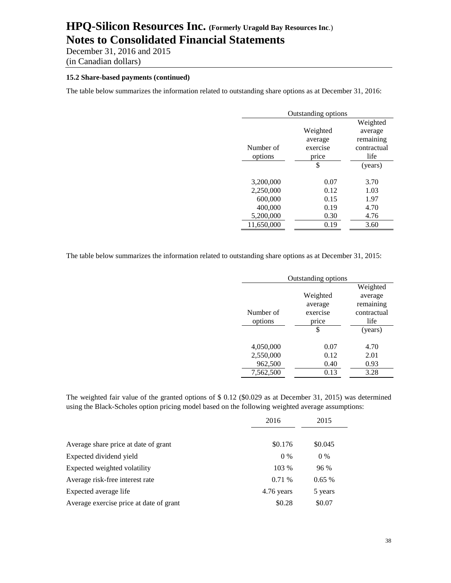December 31, 2016 and 2015 (in Canadian dollars)

# **15.2 Share-based payments (continued)**

The table below summarizes the information related to outstanding share options as at December 31, 2016:

| Outstanding options |          |             |  |
|---------------------|----------|-------------|--|
|                     |          | Weighted    |  |
|                     | Weighted | average     |  |
|                     | average  | remaining   |  |
| Number of           | exercise | contractual |  |
| options             | price    | life        |  |
|                     | \$       | (years)     |  |
|                     |          |             |  |
| 3,200,000           | 0.07     | 3.70        |  |
| 2,250,000           | 0.12     | 1.03        |  |
| 600,000             | 0.15     | 1.97        |  |
| 400,000             | 0.19     | 4.70        |  |
| 5,200,000           | 0.30     | 4.76        |  |
| 11,650,000          | 0.19     | 3.60        |  |

The table below summarizes the information related to outstanding share options as at December 31, 2015:

| Outstanding options |          |             |  |
|---------------------|----------|-------------|--|
|                     |          | Weighted    |  |
|                     | Weighted | average     |  |
|                     | average  | remaining   |  |
| Number of           | exercise | contractual |  |
| options             | price    | life        |  |
|                     | \$       | (years)     |  |
|                     |          |             |  |
| 4,050,000           | 0.07     | 4.70        |  |
| 2,550,000           | 0.12     | 2.01        |  |
| 962,500             | 0.40     | 0.93        |  |
| 7,562,500           | 0.13     | 3.28        |  |

The weighted fair value of the granted options of \$ 0.12 (\$0.029 as at December 31, 2015) was determined using the Black-Scholes option pricing model based on the following weighted average assumptions:

|                                         | 2016       | 2015    |
|-----------------------------------------|------------|---------|
|                                         |            |         |
| Average share price at date of grant    | \$0.176    | \$0.045 |
| Expected dividend yield                 | $0\%$      | $0\%$   |
| Expected weighted volatility            | 103 %      | 96 %    |
| Average risk-free interest rate         | 0.71%      | 0.65%   |
| Expected average life                   | 4.76 years | 5 years |
| Average exercise price at date of grant | \$0.28     | \$0.07  |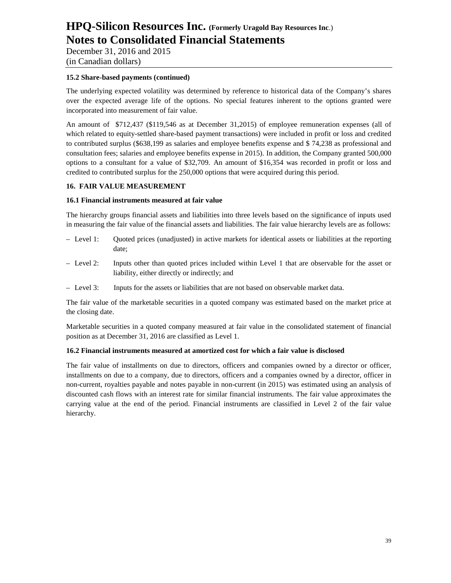December 31, 2016 and 2015 (in Canadian dollars)

### **15.2 Share-based payments (continued)**

The underlying expected volatility was determined by reference to historical data of the Company's shares over the expected average life of the options. No special features inherent to the options granted were incorporated into measurement of fair value.

An amount of \$712,437 (\$119,546 as at December 31,2015) of employee remuneration expenses (all of which related to equity-settled share-based payment transactions) were included in profit or loss and credited to contributed surplus (\$638,199 as salaries and employee benefits expense and \$ 74,238 as professional and consultation fees; salaries and employee benefits expense in 2015). In addition, the Company granted 500,000 options to a consultant for a value of \$32,709. An amount of \$16,354 was recorded in profit or loss and credited to contributed surplus for the 250,000 options that were acquired during this period.

### **16. FAIR VALUE MEASUREMENT**

#### **16.1 Financial instruments measured at fair value**

The hierarchy groups financial assets and liabilities into three levels based on the significance of inputs used in measuring the fair value of the financial assets and liabilities. The fair value hierarchy levels are as follows:

- Level 1: Quoted prices (unadjusted) in active markets for identical assets or liabilities at the reporting date;
- Level 2: Inputs other than quoted prices included within Level 1 that are observable for the asset or liability, either directly or indirectly; and
- Level 3: Inputs for the assets or liabilities that are not based on observable market data.

The fair value of the marketable securities in a quoted company was estimated based on the market price at the closing date.

Marketable securities in a quoted company measured at fair value in the consolidated statement of financial position as at December 31, 2016 are classified as Level 1.

#### **16.2 Financial instruments measured at amortized cost for which a fair value is disclosed**

The fair value of installments on due to directors, officers and companies owned by a director or officer, installments on due to a company, due to directors, officers and a companies owned by a director, officer in non-current, royalties payable and notes payable in non-current (in 2015) was estimated using an analysis of discounted cash flows with an interest rate for similar financial instruments. The fair value approximates the carrying value at the end of the period. Financial instruments are classified in Level 2 of the fair value hierarchy.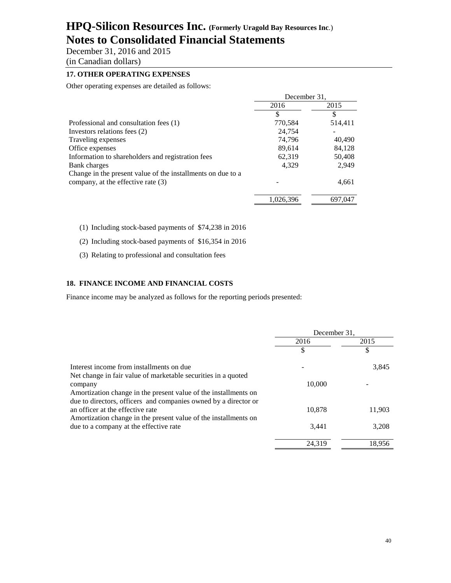December 31, 2016 and 2015 (in Canadian dollars)

# **17. OTHER OPERATING EXPENSES**

Other operating expenses are detailed as follows:

|                                                             | December 31, |         |
|-------------------------------------------------------------|--------------|---------|
|                                                             | 2016         | 2015    |
|                                                             | S            | S       |
| Professional and consultation fees (1)                      | 770,584      | 514,411 |
| Investors relations fees (2)                                | 24,754       |         |
| Traveling expenses                                          | 74,796       | 40,490  |
| Office expenses                                             | 89,614       | 84,128  |
| Information to shareholders and registration fees           | 62,319       | 50,408  |
| Bank charges                                                | 4,329        | 2.949   |
| Change in the present value of the installments on due to a |              |         |
| company, at the effective rate (3)                          |              | 4,661   |
|                                                             | 1,026,396    | 697,047 |

#### (1) Including stock-based payments of \$74,238 in 2016

(2) Including stock-based payments of \$16,354 in 2016

(3) Relating to professional and consultation fees

#### **18. FINANCE INCOME AND FINANCIAL COSTS**

Finance income may be analyzed as follows for the reporting periods presented:

|                                                                 | December 31. |        |
|-----------------------------------------------------------------|--------------|--------|
|                                                                 | 2016         | 2015   |
|                                                                 | \$           | \$     |
| Interest income from installments on due                        |              | 3,845  |
| Net change in fair value of marketable securities in a quoted   |              |        |
| company                                                         | 10,000       |        |
| Amortization change in the present value of the installments on |              |        |
| due to directors, officers and companies owned by a director or |              |        |
| an officer at the effective rate                                | 10,878       | 11,903 |
| Amortization change in the present value of the installments on |              |        |
| due to a company at the effective rate                          | 3.441        | 3,208  |
|                                                                 | 24.319       | 18.956 |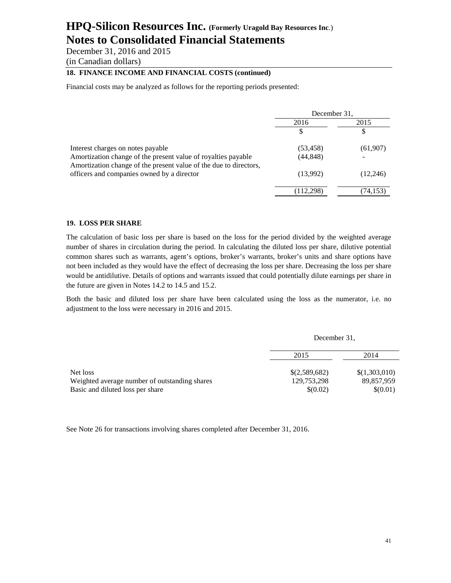December 31, 2016 and 2015

(in Canadian dollars)

# **18. FINANCE INCOME AND FINANCIAL COSTS (continued)**

Financial costs may be analyzed as follows for the reporting periods presented:

|                                                                                                                 | December 31. |           |
|-----------------------------------------------------------------------------------------------------------------|--------------|-----------|
|                                                                                                                 | 2016         | 2015      |
|                                                                                                                 |              |           |
| Interest charges on notes payable                                                                               | (53, 458)    | (61, 907) |
| Amortization change of the present value of royalties payable                                                   | (44, 848)    |           |
| Amortization change of the present value of the due to directors,<br>officers and companies owned by a director | (13,992)     | (12,246)  |
|                                                                                                                 | (112,298)    | (74,153)  |

#### **19. LOSS PER SHARE**

The calculation of basic loss per share is based on the loss for the period divided by the weighted average number of shares in circulation during the period. In calculating the diluted loss per share, dilutive potential common shares such as warrants, agent's options, broker's warrants, broker's units and share options have not been included as they would have the effect of decreasing the loss per share. Decreasing the loss per share would be antidilutive. Details of options and warrants issued that could potentially dilute earnings per share in the future are given in Notes 14.2 to 14.5 and 15.2.

Both the basic and diluted loss per share have been calculated using the loss as the numerator, i.e. no adjustment to the loss were necessary in 2016 and 2015.

December 31,

|                                               | 2015          | 2014          |
|-----------------------------------------------|---------------|---------------|
| Net loss                                      | \$(2,589,682) | \$(1,303,010) |
| Weighted average number of outstanding shares | 129,753,298   | 89,857,959    |
| Basic and diluted loss per share              | \$(0.02)      | \$(0.01)      |

See Note 26 for transactions involving shares completed after December 31, 2016.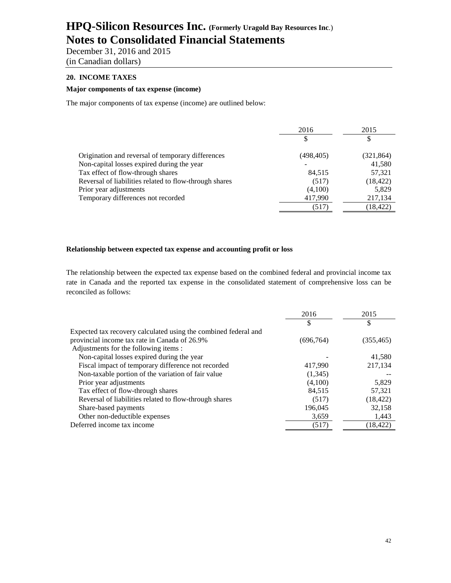December 31, 2016 and 2015 (in Canadian dollars)

## **20. INCOME TAXES**

# **Major components of tax expense (income)**

The major components of tax expense (income) are outlined below:

|                                                        | 2016       | 2015       |
|--------------------------------------------------------|------------|------------|
|                                                        |            |            |
| Origination and reversal of temporary differences      | (498, 405) | (321, 864) |
| Non-capital losses expired during the year             |            | 41,580     |
| Tax effect of flow-through shares                      | 84,515     | 57,321     |
| Reversal of liabilities related to flow-through shares | (517)      | (18, 422)  |
| Prior year adjustments                                 | (4,100)    | 5,829      |
| Temporary differences not recorded                     | 417,990    | 217,134    |
|                                                        | (517)      | (18, 422)  |

### **Relationship between expected tax expense and accounting profit or loss**

The relationship between the expected tax expense based on the combined federal and provincial income tax rate in Canada and the reported tax expense in the consolidated statement of comprehensive loss can be reconciled as follows:

|                                                                 | 2016       | 2015       |
|-----------------------------------------------------------------|------------|------------|
|                                                                 | \$         | \$         |
| Expected tax recovery calculated using the combined federal and |            |            |
| provincial income tax rate in Canada of 26.9%                   | (696, 764) | (355, 465) |
| Adjustments for the following items :                           |            |            |
| Non-capital losses expired during the year                      |            | 41,580     |
| Fiscal impact of temporary difference not recorded              | 417,990    | 217,134    |
| Non-taxable portion of the variation of fair value              | (1,345)    |            |
| Prior year adjustments                                          | (4,100)    | 5,829      |
| Tax effect of flow-through shares                               | 84.515     | 57,321     |
| Reversal of liabilities related to flow-through shares          | (517)      | (18, 422)  |
| Share-based payments                                            | 196,045    | 32,158     |
| Other non-deductible expenses                                   | 3,659      | 1,443      |
| Deferred income tax income                                      | (517)      | (18, 422)  |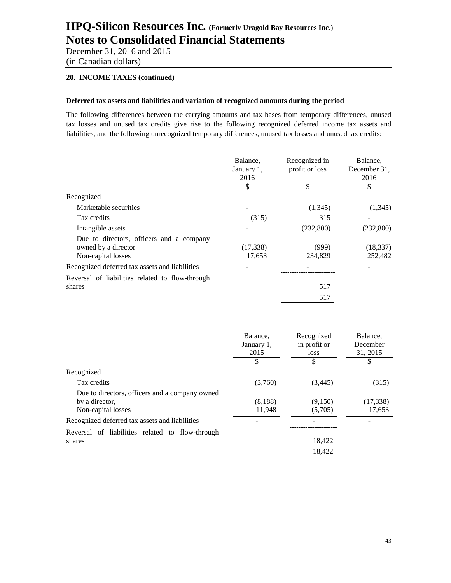December 31, 2016 and 2015 (in Canadian dollars)

### **20. INCOME TAXES (continued)**

#### **Deferred tax assets and liabilities and variation of recognized amounts during the period**

The following differences between the carrying amounts and tax bases from temporary differences, unused tax losses and unused tax credits give rise to the following recognized deferred income tax assets and liabilities, and the following unrecognized temporary differences, unused tax losses and unused tax credits:

|                                                                                       | Balance,<br>January 1,<br>2016 | Recognized in<br>profit or loss | Balance,<br>December 31,<br>2016 |
|---------------------------------------------------------------------------------------|--------------------------------|---------------------------------|----------------------------------|
|                                                                                       | \$                             | \$                              | \$                               |
| Recognized                                                                            |                                |                                 |                                  |
| Marketable securities                                                                 |                                | (1,345)                         | (1,345)                          |
| Tax credits                                                                           | (315)                          | 315                             |                                  |
| Intangible assets                                                                     |                                | (232,800)                       | (232,800)                        |
| Due to directors, officers and a company<br>owned by a director<br>Non-capital losses | (17, 338)<br>17,653            | (999)<br>234,829                | (18, 337)<br>252,482             |
| Recognized deferred tax assets and liabilities                                        |                                |                                 |                                  |
| Reversal of liabilities related to flow-through<br>shares                             |                                | 517                             |                                  |
|                                                                                       |                                | 517                             |                                  |

|                                                 | Balance,<br>January 1,<br>2015 | Recognized<br>in profit or<br>loss | Balance,<br>December<br>31, 2015 |
|-------------------------------------------------|--------------------------------|------------------------------------|----------------------------------|
|                                                 | \$                             | \$                                 | S                                |
| Recognized                                      |                                |                                    |                                  |
| Tax credits                                     | (3,760)                        | (3,445)                            | (315)                            |
| Due to directors, officers and a company owned  |                                |                                    |                                  |
| by a director.                                  | (8,188)                        | (9,150)                            | (17, 338)                        |
| Non-capital losses                              | 11,948                         | (5,705)                            | 17,653                           |
| Recognized deferred tax assets and liabilities  |                                |                                    |                                  |
| Reversal of liabilities related to flow-through |                                |                                    |                                  |
| shares                                          |                                | 18,422                             |                                  |
|                                                 |                                | 18,422                             |                                  |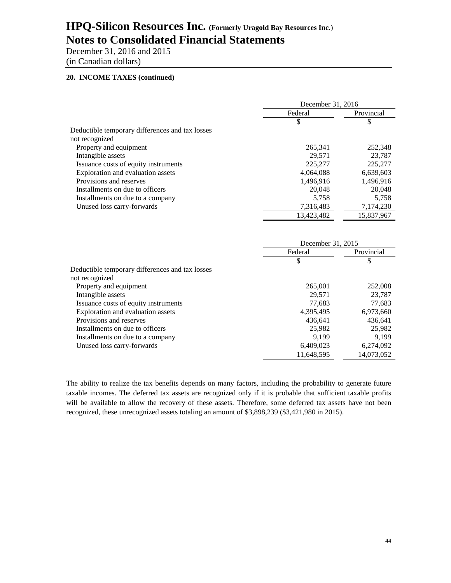December 31, 2016 and 2015 (in Canadian dollars)

# **20. INCOME TAXES (continued)**

|                                                 | December 31, 2016 |            |
|-------------------------------------------------|-------------------|------------|
|                                                 | Federal           | Provincial |
|                                                 | \$                | \$         |
| Deductible temporary differences and tax losses |                   |            |
| not recognized                                  |                   |            |
| Property and equipment                          | 265,341           | 252,348    |
| Intangible assets                               | 29.571            | 23,787     |
| Issuance costs of equity instruments            | 225,277           | 225,277    |
| Exploration and evaluation assets               | 4,064,088         | 6,639,603  |
| Provisions and reserves                         | 1,496,916         | 1,496,916  |
| Installments on due to officers                 | 20,048            | 20,048     |
| Installments on due to a company                | 5,758             | 5,758      |
| Unused loss carry-forwards                      | 7,316,483         | 7,174,230  |
|                                                 | 13.423.482        | 15,837,967 |

|                                                 | December 31, 2015 |            |
|-------------------------------------------------|-------------------|------------|
|                                                 | Federal           | Provincial |
|                                                 | \$                | \$         |
| Deductible temporary differences and tax losses |                   |            |
| not recognized                                  |                   |            |
| Property and equipment                          | 265,001           | 252,008    |
| Intangible assets                               | 29,571            | 23,787     |
| Issuance costs of equity instruments            | 77.683            | 77,683     |
| Exploration and evaluation assets               | 4,395,495         | 6,973,660  |
| Provisions and reserves                         | 436.641           | 436.641    |
| Installments on due to officers                 | 25,982            | 25,982     |
| Installments on due to a company                | 9.199             | 9,199      |
| Unused loss carry-forwards                      | 6,409,023         | 6,274,092  |
|                                                 | 11,648,595        | 14,073,052 |

The ability to realize the tax benefits depends on many factors, including the probability to generate future taxable incomes. The deferred tax assets are recognized only if it is probable that sufficient taxable profits will be available to allow the recovery of these assets. Therefore, some deferred tax assets have not been recognized, these unrecognized assets totaling an amount of \$3,898,239 (\$3,421,980 in 2015).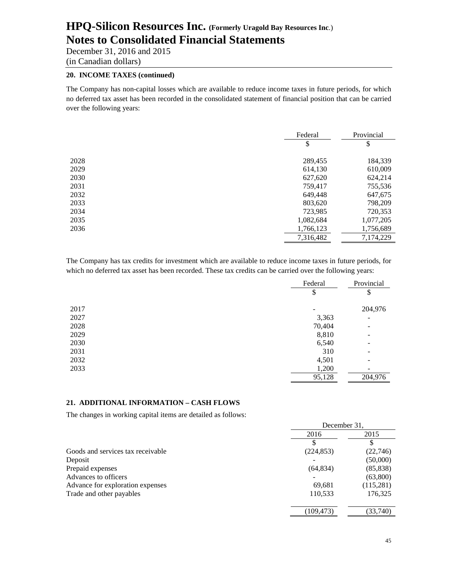December 31, 2016 and 2015 (in Canadian dollars)

### **20. INCOME TAXES (continued)**

The Company has non-capital losses which are available to reduce income taxes in future periods, for which no deferred tax asset has been recorded in the consolidated statement of financial position that can be carried over the following years:

|      | Federal   | Provincial |
|------|-----------|------------|
|      | \$        | \$         |
| 2028 | 289,455   | 184,339    |
| 2029 | 614,130   | 610,009    |
| 2030 | 627,620   | 624,214    |
| 2031 | 759,417   | 755,536    |
| 2032 | 649,448   | 647,675    |
| 2033 | 803,620   | 798,209    |
| 2034 | 723,985   | 720,353    |
| 2035 | 1,082,684 | 1,077,205  |
| 2036 | 1,766,123 | 1,756,689  |
|      | 7,316,482 | 7,174,229  |

The Company has tax credits for investment which are available to reduce income taxes in future periods, for which no deferred tax asset has been recorded. These tax credits can be carried over the following years:

|      | Federal | Provincial                   |
|------|---------|------------------------------|
|      | \$      | \$                           |
| 2017 |         | 204,976                      |
| 2027 | 3,363   | $\overline{\phantom{a}}$     |
| 2028 | 70,404  | $\overline{\phantom{a}}$     |
| 2029 | 8,810   | $\qquad \qquad \blacksquare$ |
| 2030 | 6,540   | -                            |
| 2031 | 310     | -                            |
| 2032 | 4,501   | -                            |
| 2033 | 1,200   | $\overline{\phantom{a}}$     |
|      | 95,128  | 204,976                      |

#### **21. ADDITIONAL INFORMATION – CASH FLOWS**

The changes in working capital items are detailed as follows:

|                                   | December 31, |           |
|-----------------------------------|--------------|-----------|
|                                   | 2016         | 2015      |
|                                   |              |           |
| Goods and services tax receivable | (224, 853)   | (22,746)  |
| Deposit                           |              | (50,000)  |
| Prepaid expenses                  | (64, 834)    | (85, 838) |
| Advances to officers              |              | (63,800)  |
| Advance for exploration expenses  | 69,681       | (115,281) |
| Trade and other payables          | 110,533      | 176,325   |
|                                   | (109,473)    | (33,740)  |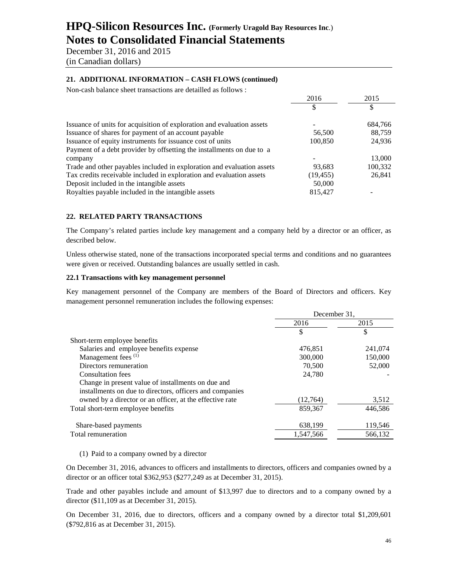December 31, 2016 and 2015 (in Canadian dollars)

### **21. ADDITIONAL INFORMATION – CASH FLOWS (continued)**

Non-cash balance sheet transactions are detailled as follows :

|                                                                        | 2016      | 2015    |
|------------------------------------------------------------------------|-----------|---------|
|                                                                        |           |         |
| Issuance of units for acquisition of exploration and evaluation assets |           | 684,766 |
| Issuance of shares for payment of an account payable                   | 56,500    | 88,759  |
| Issuance of equity instruments for issuance cost of units              | 100,850   | 24,936  |
| Payment of a debt provider by offsetting the installments on due to a  |           |         |
| company                                                                |           | 13,000  |
| Trade and other payables included in exploration and evaluation assets | 93,683    | 100,332 |
| Tax credits receivable included in exploration and evaluation assets   | (19, 455) | 26,841  |
| Deposit included in the intangible assets                              | 50,000    |         |
| Royalties payable included in the intangible assets                    | 815,427   |         |

### **22. RELATED PARTY TRANSACTIONS**

The Company's related parties include key management and a company held by a director or an officer, as described below.

Unless otherwise stated, none of the transactions incorporated special terms and conditions and no guarantees were given or received. Outstanding balances are usually settled in cash.

#### **22.1 Transactions with key management personnel**

Key management personnel of the Company are members of the Board of Directors and officers. Key management personnel remuneration includes the following expenses:

|                                                          | December 31, |         |
|----------------------------------------------------------|--------------|---------|
|                                                          | 2016         | 2015    |
|                                                          | \$.          | \$      |
| Short-term employee benefits                             |              |         |
| Salaries and employee benefits expense                   | 476,851      | 241,074 |
| Management fees <sup>(1)</sup>                           | 300,000      | 150,000 |
| Directors remuneration                                   | 70,500       | 52,000  |
| Consultation fees                                        | 24,780       |         |
| Change in present value of installments on due and       |              |         |
| installments on due to directors, officers and companies |              |         |
| owned by a director or an officer, at the effective rate | (12,764)     | 3,512   |
| Total short-term employee benefits                       | 859,367      | 446,586 |
| Share-based payments                                     | 638,199      | 119,546 |
| Total remuneration                                       | 1,547,566    | 566,132 |

#### (1) Paid to a company owned by a director

On December 31, 2016, advances to officers and installments to directors, officers and companies owned by a director or an officer total \$362,953 (\$277,249 as at December 31, 2015).

Trade and other payables include and amount of \$13,997 due to directors and to a company owned by a director (\$11,109 as at December 31, 2015).

On December 31, 2016, due to directors, officers and a company owned by a director total \$1,209,601 (\$792,816 as at December 31, 2015).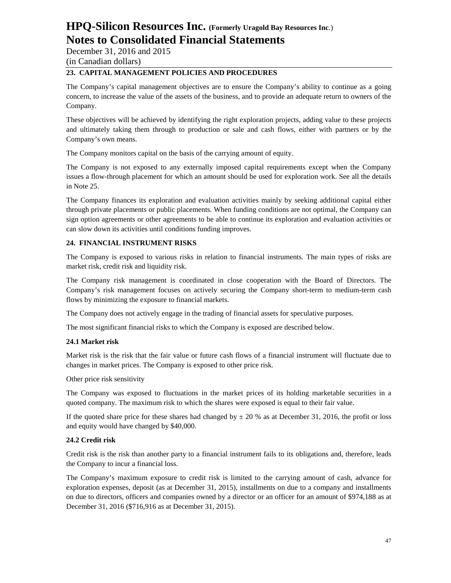December 31, 2016 and 2015 (in Canadian dollars)

# **23. CAPITAL MANAGEMENT POLICIES AND PROCEDURES**

The Company's capital management objectives are to ensure the Company's ability to continue as a going concern, to increase the value of the assets of the business, and to provide an adequate return to owners of the Company.

These objectives will be achieved by identifying the right exploration projects, adding value to these projects and ultimately taking them through to production or sale and cash flows, either with partners or by the Company's own means.

The Company monitors capital on the basis of the carrying amount of equity.

The Company is not exposed to any externally imposed capital requirements except when the Company issues a flow-through placement for which an amount should be used for exploration work. See all the details in Note 25.

The Company finances its exploration and evaluation activities mainly by seeking additional capital either through private placements or public placements. When funding conditions are not optimal, the Company can sign option agreements or other agreements to be able to continue its exploration and evaluation activities or can slow down its activities until conditions funding improves.

# **24. FINANCIAL INSTRUMENT RISKS**

The Company is exposed to various risks in relation to financial instruments. The main types of risks are market risk, credit risk and liquidity risk.

The Company risk management is coordinated in close cooperation with the Board of Directors. The Company's risk management focuses on actively securing the Company short-term to medium-term cash flows by minimizing the exposure to financial markets.

The Company does not actively engage in the trading of financial assets for speculative purposes.

The most significant financial risks to which the Company is exposed are described below.

# **24.1 Market risk**

Market risk is the risk that the fair value or future cash flows of a financial instrument will fluctuate due to changes in market prices. The Company is exposed to other price risk.

Other price risk sensitivity

The Company was exposed to fluctuations in the market prices of its holding marketable securities in a quoted company. The maximum risk to which the shares were exposed is equal to their fair value.

If the quoted share price for these shares had changed by  $\pm 20$  % as at December 31, 2016, the profit or loss and equity would have changed by \$40,000.

# **24.2 Credit risk**

Credit risk is the risk than another party to a financial instrument fails to its obligations and, therefore, leads the Company to incur a financial loss.

The Company's maximum exposure to credit risk is limited to the carrying amount of cash, advance for exploration expenses, deposit (as at December 31, 2015), installments on due to a company and installments on due to directors, officers and companies owned by a director or an officer for an amount of \$974,188 as at December 31, 2016 (\$716,916 as at December 31, 2015).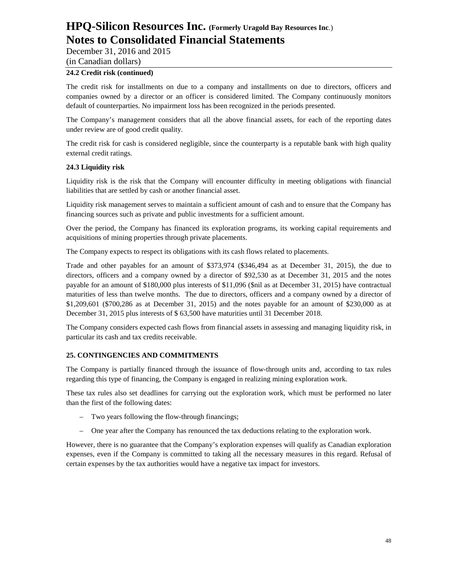December 31, 2016 and 2015

(in Canadian dollars)

# **24.2 Credit risk (continued)**

The credit risk for installments on due to a company and installments on due to directors, officers and companies owned by a director or an officer is considered limited. The Company continuously monitors default of counterparties. No impairment loss has been recognized in the periods presented.

The Company's management considers that all the above financial assets, for each of the reporting dates under review are of good credit quality.

The credit risk for cash is considered negligible, since the counterparty is a reputable bank with high quality external credit ratings.

# **24.3 Liquidity risk**

Liquidity risk is the risk that the Company will encounter difficulty in meeting obligations with financial liabilities that are settled by cash or another financial asset.

Liquidity risk management serves to maintain a sufficient amount of cash and to ensure that the Company has financing sources such as private and public investments for a sufficient amount.

Over the period, the Company has financed its exploration programs, its working capital requirements and acquisitions of mining properties through private placements.

The Company expects to respect its obligations with its cash flows related to placements.

Trade and other payables for an amount of \$373,974 (\$346,494 as at December 31, 2015), the due to directors, officers and a company owned by a director of \$92,530 as at December 31, 2015 and the notes payable for an amount of \$180,000 plus interests of \$11,096 (\$nil as at December 31, 2015) have contractual maturities of less than twelve months. The due to directors, officers and a company owned by a director of \$1,209,601 (\$700,286 as at December 31, 2015) and the notes payable for an amount of \$230,000 as at December 31, 2015 plus interests of \$ 63,500 have maturities until 31 December 2018.

The Company considers expected cash flows from financial assets in assessing and managing liquidity risk, in particular its cash and tax credits receivable.

# **25. CONTINGENCIES AND COMMITMENTS**

The Company is partially financed through the issuance of flow-through units and, according to tax rules regarding this type of financing, the Company is engaged in realizing mining exploration work.

These tax rules also set deadlines for carrying out the exploration work, which must be performed no later than the first of the following dates:

- Two years following the flow-through financings;
- One year after the Company has renounced the tax deductions relating to the exploration work.

However, there is no guarantee that the Company's exploration expenses will qualify as Canadian exploration expenses, even if the Company is committed to taking all the necessary measures in this regard. Refusal of certain expenses by the tax authorities would have a negative tax impact for investors.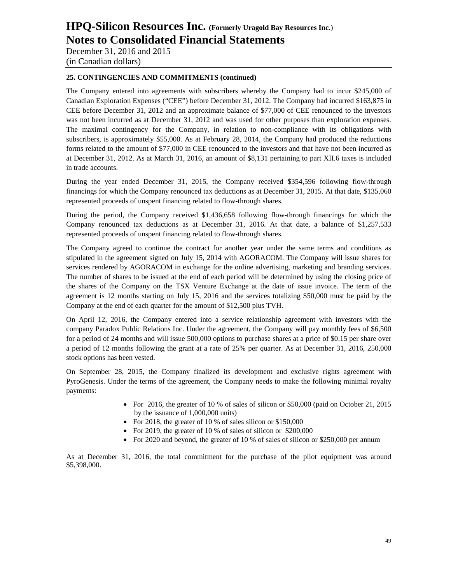December 31, 2016 and 2015 (in Canadian dollars)

### **25. CONTINGENCIES AND COMMITMENTS (continued)**

The Company entered into agreements with subscribers whereby the Company had to incur \$245,000 of Canadian Exploration Expenses ("CEE") before December 31, 2012. The Company had incurred \$163,875 in CEE before December 31, 2012 and an approximate balance of \$77,000 of CEE renounced to the investors was not been incurred as at December 31, 2012 and was used for other purposes than exploration expenses. The maximal contingency for the Company, in relation to non-compliance with its obligations with subscribers, is approximately \$55,000. As at February 28, 2014, the Company had produced the reductions forms related to the amount of \$77,000 in CEE renounced to the investors and that have not been incurred as at December 31, 2012. As at March 31, 2016, an amount of \$8,131 pertaining to part XII.6 taxes is included in trade accounts.

During the year ended December 31, 2015, the Company received \$354,596 following flow-through financings for which the Company renounced tax deductions as at December 31, 2015. At that date, \$135,060 represented proceeds of unspent financing related to flow-through shares.

During the period, the Company received \$1,436,658 following flow-through financings for which the Company renounced tax deductions as at December 31, 2016. At that date, a balance of \$1,257,533 represented proceeds of unspent financing related to flow-through shares.

The Company agreed to continue the contract for another year under the same terms and conditions as stipulated in the agreement signed on July 15, 2014 with AGORACOM. The Company will issue shares for services rendered by AGORACOM in exchange for the online advertising, marketing and branding services. The number of shares to be issued at the end of each period will be determined by using the closing price of the shares of the Company on the TSX Venture Exchange at the date of issue invoice. The term of the agreement is 12 months starting on July 15, 2016 and the services totalizing \$50,000 must be paid by the Company at the end of each quarter for the amount of \$12,500 plus TVH.

On April 12, 2016, the Company entered into a service relationship agreement with investors with the company Paradox Public Relations Inc. Under the agreement, the Company will pay monthly fees of \$6,500 for a period of 24 months and will issue 500,000 options to purchase shares at a price of \$0.15 per share over a period of 12 months following the grant at a rate of 25% per quarter. As at December 31, 2016, 250,000 stock options has been vested.

On September 28, 2015, the Company finalized its development and exclusive rights agreement with PyroGenesis. Under the terms of the agreement, the Company needs to make the following minimal royalty payments:

- For 2016, the greater of 10 % of sales of silicon or \$50,000 (paid on October 21, 2015 by the issuance of 1,000,000 units)
- For 2018, the greater of 10 % of sales silicon or \$150,000
- For 2019, the greater of 10 % of sales of silicon or \$200,000
- For 2020 and beyond, the greater of 10 % of sales of silicon or \$250,000 per annum

As at December 31, 2016, the total commitment for the purchase of the pilot equipment was around \$5,398,000.